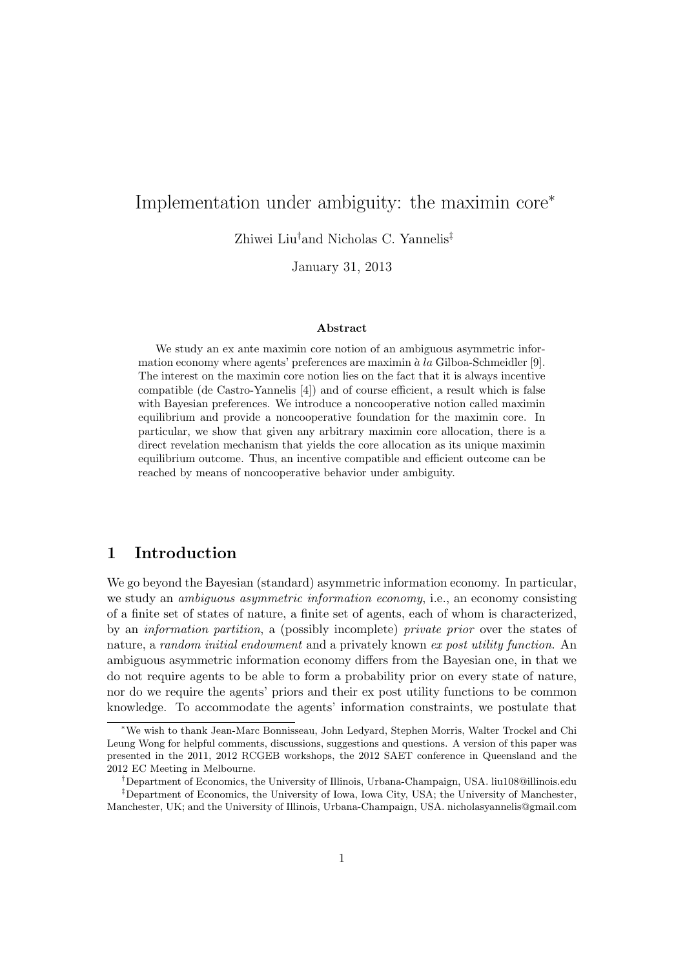# Implementation under ambiguity: the maximin core<sup>∗</sup>

Zhiwei Liu†and Nicholas C. Yannelis‡

January 31, 2013

#### Abstract

We study an ex ante maximin core notion of an ambiguous asymmetric information economy where agents' preferences are maximin à la Gilboa-Schmeidler [9]. The interest on the maximin core notion lies on the fact that it is always incentive compatible (de Castro-Yannelis [4]) and of course efficient, a result which is false with Bayesian preferences. We introduce a noncooperative notion called maximin equilibrium and provide a noncooperative foundation for the maximin core. In particular, we show that given any arbitrary maximin core allocation, there is a direct revelation mechanism that yields the core allocation as its unique maximin equilibrium outcome. Thus, an incentive compatible and efficient outcome can be reached by means of noncooperative behavior under ambiguity.

# 1 Introduction

We go beyond the Bayesian (standard) asymmetric information economy. In particular, we study an *ambiguous asymmetric information economy*, i.e., an economy consisting of a finite set of states of nature, a finite set of agents, each of whom is characterized, by an information partition, a (possibly incomplete) private prior over the states of nature, a random initial endowment and a privately known ex post utility function. An ambiguous asymmetric information economy differs from the Bayesian one, in that we do not require agents to be able to form a probability prior on every state of nature, nor do we require the agents' priors and their ex post utility functions to be common knowledge. To accommodate the agents' information constraints, we postulate that

<sup>∗</sup>We wish to thank Jean-Marc Bonnisseau, John Ledyard, Stephen Morris, Walter Trockel and Chi Leung Wong for helpful comments, discussions, suggestions and questions. A version of this paper was presented in the 2011, 2012 RCGEB workshops, the 2012 SAET conference in Queensland and the 2012 EC Meeting in Melbourne.

<sup>†</sup>Department of Economics, the University of Illinois, Urbana-Champaign, USA. liu108@illinois.edu

<sup>‡</sup>Department of Economics, the University of Iowa, Iowa City, USA; the University of Manchester, Manchester, UK; and the University of Illinois, Urbana-Champaign, USA. nicholasyannelis@gmail.com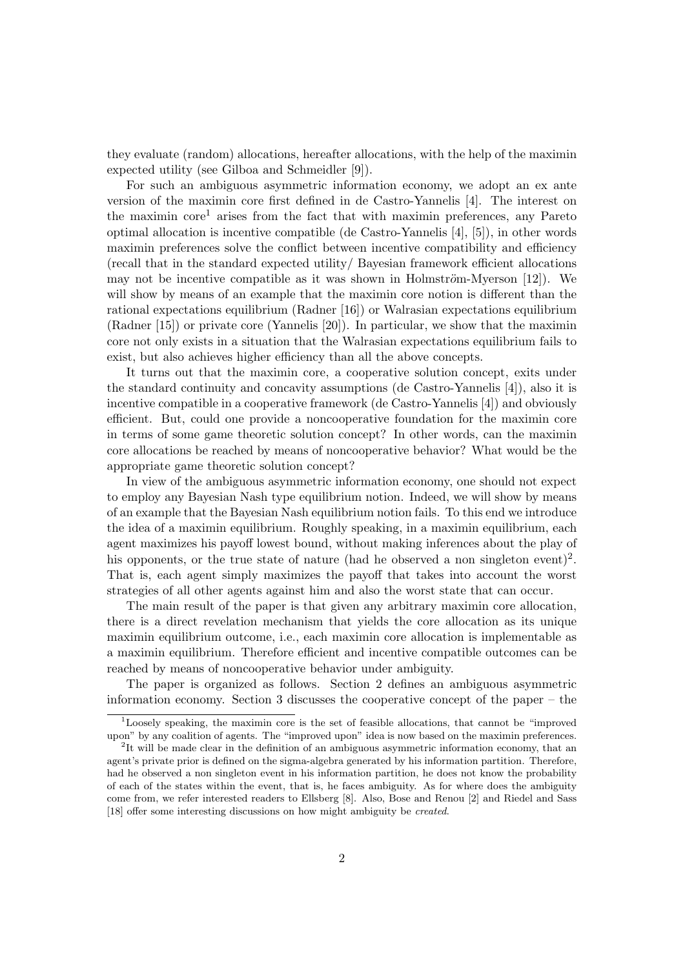they evaluate (random) allocations, hereafter allocations, with the help of the maximin expected utility (see Gilboa and Schmeidler [9]).

For such an ambiguous asymmetric information economy, we adopt an ex ante version of the maximin core first defined in de Castro-Yannelis [4]. The interest on the maximin core<sup>1</sup> arises from the fact that with maximin preferences, any Pareto optimal allocation is incentive compatible (de Castro-Yannelis [4], [5]), in other words maximin preferences solve the conflict between incentive compatibility and efficiency (recall that in the standard expected utility/ Bayesian framework efficient allocations may not be incentive compatible as it was shown in Holmström-Myerson  $[12]$ ). We will show by means of an example that the maximin core notion is different than the rational expectations equilibrium (Radner [16]) or Walrasian expectations equilibrium (Radner [15]) or private core (Yannelis [20]). In particular, we show that the maximin core not only exists in a situation that the Walrasian expectations equilibrium fails to exist, but also achieves higher efficiency than all the above concepts.

It turns out that the maximin core, a cooperative solution concept, exits under the standard continuity and concavity assumptions (de Castro-Yannelis [4]), also it is incentive compatible in a cooperative framework (de Castro-Yannelis [4]) and obviously efficient. But, could one provide a noncooperative foundation for the maximin core in terms of some game theoretic solution concept? In other words, can the maximin core allocations be reached by means of noncooperative behavior? What would be the appropriate game theoretic solution concept?

In view of the ambiguous asymmetric information economy, one should not expect to employ any Bayesian Nash type equilibrium notion. Indeed, we will show by means of an example that the Bayesian Nash equilibrium notion fails. To this end we introduce the idea of a maximin equilibrium. Roughly speaking, in a maximin equilibrium, each agent maximizes his payoff lowest bound, without making inferences about the play of his opponents, or the true state of nature (had he observed a non singleton event)<sup>2</sup>. That is, each agent simply maximizes the payoff that takes into account the worst strategies of all other agents against him and also the worst state that can occur.

The main result of the paper is that given any arbitrary maximin core allocation, there is a direct revelation mechanism that yields the core allocation as its unique maximin equilibrium outcome, i.e., each maximin core allocation is implementable as a maximin equilibrium. Therefore efficient and incentive compatible outcomes can be reached by means of noncooperative behavior under ambiguity.

The paper is organized as follows. Section 2 defines an ambiguous asymmetric information economy. Section 3 discusses the cooperative concept of the paper – the

 $1$ Loosely speaking, the maximin core is the set of feasible allocations, that cannot be "improved" upon" by any coalition of agents. The "improved upon" idea is now based on the maximin preferences.

<sup>&</sup>lt;sup>2</sup>It will be made clear in the definition of an ambiguous asymmetric information economy, that an agent's private prior is defined on the sigma-algebra generated by his information partition. Therefore, had he observed a non singleton event in his information partition, he does not know the probability of each of the states within the event, that is, he faces ambiguity. As for where does the ambiguity come from, we refer interested readers to Ellsberg [8]. Also, Bose and Renou [2] and Riedel and Sass [18] offer some interesting discussions on how might ambiguity be *created*.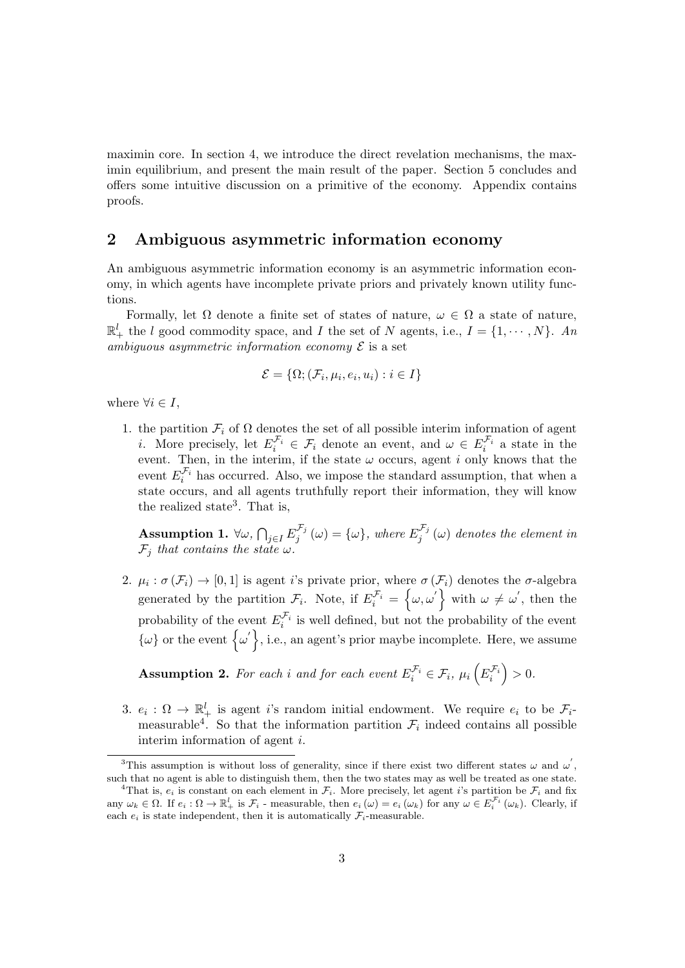maximin core. In section 4, we introduce the direct revelation mechanisms, the maximin equilibrium, and present the main result of the paper. Section 5 concludes and offers some intuitive discussion on a primitive of the economy. Appendix contains proofs.

## 2 Ambiguous asymmetric information economy

An ambiguous asymmetric information economy is an asymmetric information economy, in which agents have incomplete private priors and privately known utility functions.

Formally, let  $\Omega$  denote a finite set of states of nature,  $\omega \in \Omega$  a state of nature,  $\mathbb{R}^l_+$  the l good commodity space, and I the set of N agents, i.e.,  $I = \{1, \cdots, N\}$ . An ambiguous asymmetric information economy  $\mathcal E$  is a set

$$
\mathcal{E} = \{\Omega; (\mathcal{F}_i, \mu_i, e_i, u_i) : i \in I\}
$$

where  $\forall i \in I$ ,

1. the partition  $\mathcal{F}_i$  of  $\Omega$  denotes the set of all possible interim information of agent *i*. More precisely, let  $E_i^{\mathcal{F}_i} \in \mathcal{F}_i$  denote an event, and  $\omega \in E_i^{\mathcal{F}_i}$  a state in the event. Then, in the interim, if the state  $\omega$  occurs, agent i only knows that the event  $E_i^{\mathcal{F}_i}$  has occurred. Also, we impose the standard assumption, that when a state occurs, and all agents truthfully report their information, they will know the realized state<sup>3</sup>. That is,

 $\text{Assumption 1. } \forall \omega, \, \bigcap_{j \in I} E_j^{\mathcal{F}_j}$  $j^{\mathcal{F}_j}\left(\omega\right)=\{\omega\},\ where\ E_j^{\mathcal{F}_j}$  $j_j^{\sigma_j}(\omega)$  denotes the element in  $\mathcal{F}_i$  that contains the state  $\omega$ .

2.  $\mu_i : \sigma(\mathcal{F}_i) \to [0,1]$  is agent *i*'s private prior, where  $\sigma(\mathcal{F}_i)$  denotes the  $\sigma$ -algebra generated by the partition  $\mathcal{F}_i$ . Note, if  $E_i^{\mathcal{F}_i} = \{\omega, \omega'\}$  with  $\omega \neq \omega'$ , then the probability of the event  $E_i^{\mathcal{F}_i}$  is well defined, but not the probability of the event  $\{\omega\}$  or the event  $\{\omega'\},$  i.e., an agent's prior maybe incomplete. Here, we assume

**Assumption 2.** For each i and for each event  $E_i^{\mathcal{F}_i} \in \mathcal{F}_i$ ,  $\mu_i\left(E_i^{\mathcal{F}_i}\right) > 0$ .

3.  $e_i : \Omega \to \mathbb{R}^l_+$  is agent i's random initial endowment. We require  $e_i$  to be  $\mathcal{F}_i$ . measurable<sup>4</sup>. So that the information partition  $\mathcal{F}_i$  indeed contains all possible interim information of agent i.

<sup>&</sup>lt;sup>3</sup>This assumption is without loss of generality, since if there exist two different states  $\omega$  and  $\omega'$ , such that no agent is able to distinguish them, then the two states may as well be treated as one state.

<sup>&</sup>lt;sup>4</sup>That is,  $e_i$  is constant on each element in  $\mathcal{F}_i$ . More precisely, let agent *i*'s partition be  $\mathcal{F}_i$  and fix any  $\omega_k \in \Omega$ . If  $e_i : \Omega \to \mathbb{R}^l_+$  is  $\mathcal{F}_i$  - measurable, then  $e_i(\omega) = e_i(\omega_k)$  for any  $\omega \in E_i^{\mathcal{F}_i}(\omega_k)$ . Clearly, if each  $e_i$  is state independent, then it is automatically  $\mathcal{F}_i$ -measurable.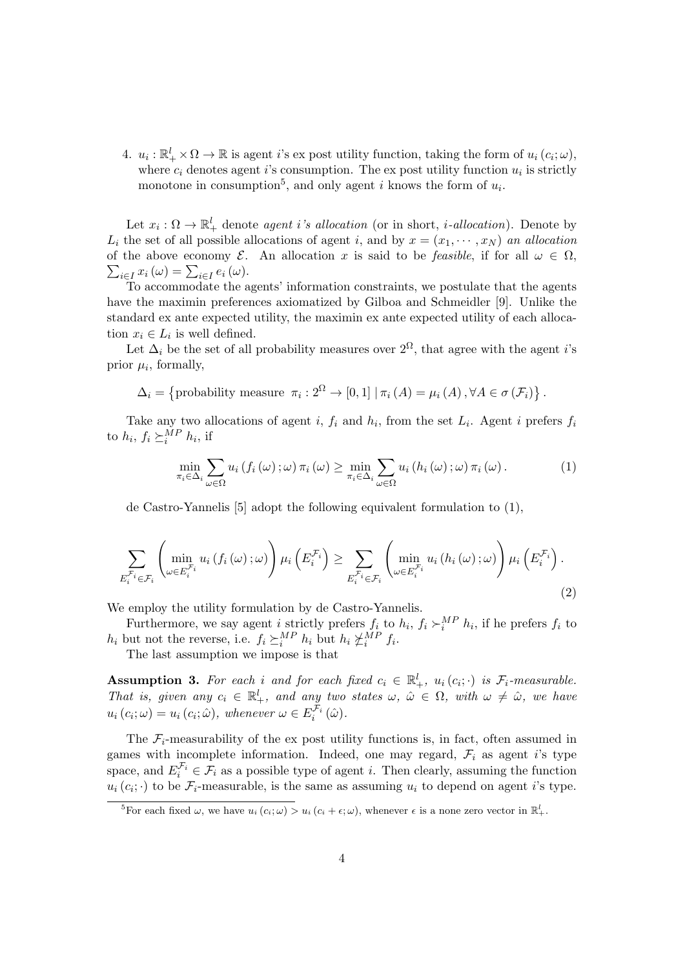4.  $u_i: \mathbb{R}_+^l \times \Omega \to \mathbb{R}$  is agent i's expost utility function, taking the form of  $u_i(c_i; \omega)$ , where  $c_i$  denotes agent *i*'s consumption. The expost utility function  $u_i$  is strictly monotone in consumption<sup>5</sup>, and only agent *i* knows the form of  $u_i$ .

Let  $x_i : \Omega \to \mathbb{R}^l_+$  denote agent i's allocation (or in short, *i*-allocation). Denote by  $L_i$  the set of all possible allocations of agent i, and by  $x = (x_1, \dots, x_N)$  an allocation of the above economy  $\mathcal{E}$ . An allocation x is said to be feasible, if for all  $\omega \in \Omega$ ,  $\sum_{i\in I} x_i(\omega) = \sum_{i\in I} e_i(\omega).$ 

To accommodate the agents' information constraints, we postulate that the agents have the maximin preferences axiomatized by Gilboa and Schmeidler [9]. Unlike the standard ex ante expected utility, the maximin ex ante expected utility of each allocation  $x_i \in L_i$  is well defined.

Let  $\Delta_i$  be the set of all probability measures over  $2^{\Omega}$ , that agree with the agent *i*'s prior  $\mu_i$ , formally,

 $\Delta_i = \{$ probability measure  $\pi_i : 2^{\Omega} \to [0,1] | \pi_i(A) = \mu_i(A), \forall A \in \sigma(\mathcal{F}_i) \}$ .

Take any two allocations of agent i,  $f_i$  and  $h_i$ , from the set  $L_i$ . Agent i prefers  $f_i$ to  $h_i$ ,  $f_i \succeq_i^{MP} h_i$ , if

$$
\min_{\pi_i \in \Delta_i} \sum_{\omega \in \Omega} u_i(f_i(\omega); \omega) \pi_i(\omega) \ge \min_{\pi_i \in \Delta_i} \sum_{\omega \in \Omega} u_i(h_i(\omega); \omega) \pi_i(\omega).
$$
 (1)

de Castro-Yannelis [5] adopt the following equivalent formulation to (1),

$$
\sum_{E_i^{\mathcal{F}_i} \in \mathcal{F}_i} \left( \min_{\omega \in E_i^{\mathcal{F}_i}} u_i(f_i(\omega); \omega) \right) \mu_i\left(E_i^{\mathcal{F}_i}\right) \ge \sum_{E_i^{\mathcal{F}_i} \in \mathcal{F}_i} \left( \min_{\omega \in E_i^{\mathcal{F}_i}} u_i(h_i(\omega); \omega) \right) \mu_i\left(E_i^{\mathcal{F}_i}\right).
$$
\n(2)

We employ the utility formulation by de Castro-Yannelis.

Furthermore, we say agent *i* strictly prefers  $f_i$  to  $h_i$ ,  $f_i \succ_i^{MP} h_i$ , if he prefers  $f_i$  to  $h_i$  but not the reverse, i.e.  $f_i \succeq_i^{MP} h_i$  but  $h_i \not\subset_i^{MP} f_i$ .

The last assumption we impose is that

**Assumption 3.** For each i and for each fixed  $c_i \in \mathbb{R}^l_+$ ,  $u_i(c_i; \cdot)$  is  $\mathcal{F}_i$ -measurable. That is, given any  $c_i \in \mathbb{R}^l_+$ , and any two states  $\omega, \hat{\omega} \in \Omega$ , with  $\omega \neq \hat{\omega}$ , we have  $u_i(c_i; \omega) = u_i(c_i; \hat{\omega}),$  whenever  $\omega \in E_i^{\mathcal{F}_i}(\hat{\omega}).$ 

The  $\mathcal{F}_i$ -measurability of the ex post utility functions is, in fact, often assumed in games with incomplete information. Indeed, one may regard,  $\mathcal{F}_i$  as agent *i*'s type space, and  $E_i^{\mathcal{F}_i} \in \mathcal{F}_i$  as a possible type of agent *i*. Then clearly, assuming the function  $u_i(c_i; \cdot)$  to be  $\mathcal{F}_i$ -measurable, is the same as assuming  $u_i$  to depend on agent *i*'s type.

<sup>&</sup>lt;sup>5</sup>For each fixed  $\omega$ , we have  $u_i(c_i; \omega) > u_i(c_i + \epsilon; \omega)$ , whenever  $\epsilon$  is a none zero vector in  $\mathbb{R}^l_+$ .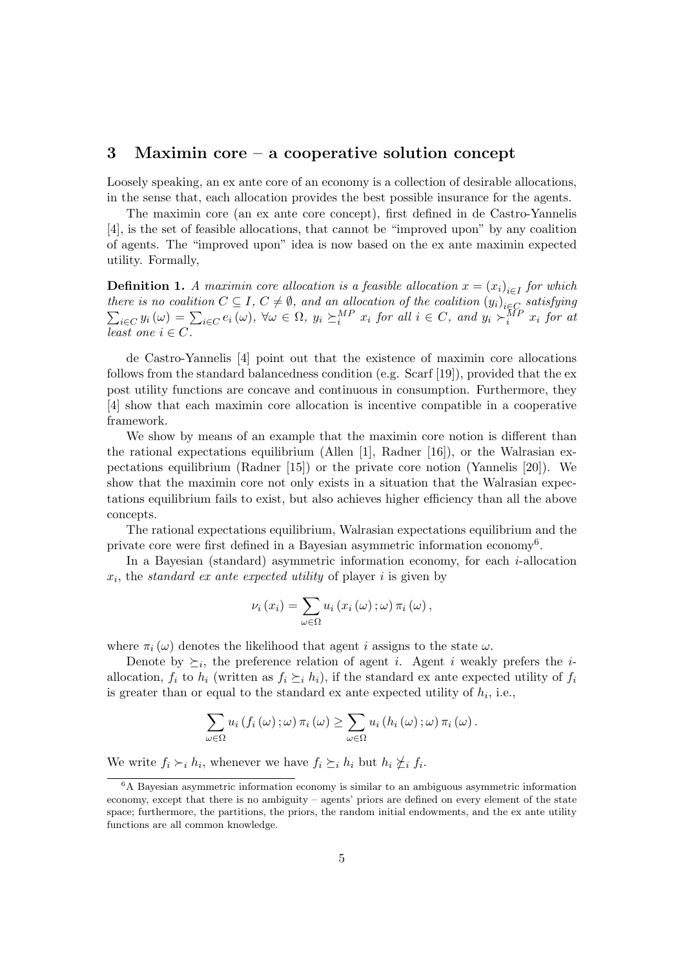### 3 Maximin core – a cooperative solution concept

Loosely speaking, an ex ante core of an economy is a collection of desirable allocations, in the sense that, each allocation provides the best possible insurance for the agents.

The maximin core (an ex ante core concept), first defined in de Castro-Yannelis [4], is the set of feasible allocations, that cannot be "improved upon" by any coalition of agents. The "improved upon" idea is now based on the ex ante maximin expected utility. Formally,

**Definition 1.** A maximin core allocation is a feasible allocation  $x = (x_i)_{i \in I}$  for which there is no coalition  $C \subseteq I$ ,  $C \neq \emptyset$ , and an allocation of the coalition  $(y_i)_{i \in C}$ <br>  $\sum_{i \in C} y_i(\omega) = \sum_{i \in C} e_i(\omega)$ ,  $\forall \omega \in \Omega$ ,  $y_i \succeq_i^{MP} x_i$  for all  $i \in C$ , and  $y_i \succeq_i^{MP} x_i$ satisfying  $\psi_{i\in C}\, y_i\,(\omega) \,=\, \sum_{i\in C}\,e_i\,(\omega), \ \forall \omega \,\in\, \Omega, \ y_i \, \succeq^{{\cal M}P}_i\, x_i \,\, for\,\, all \,\, i\, \in\, C, \,\, and \,\, y_i \succ^{{\cal M}P}_i\, x_i \,\, for\,\, and \,\,$ least one  $i \in C$ .

de Castro-Yannelis [4] point out that the existence of maximin core allocations follows from the standard balancedness condition (e.g. Scarf  $[19]$ ), provided that the expost utility functions are concave and continuous in consumption. Furthermore, they [4] show that each maximin core allocation is incentive compatible in a cooperative framework.

We show by means of an example that the maximin core notion is different than the rational expectations equilibrium (Allen [1], Radner [16]), or the Walrasian expectations equilibrium (Radner [15]) or the private core notion (Yannelis [20]). We show that the maximin core not only exists in a situation that the Walrasian expectations equilibrium fails to exist, but also achieves higher efficiency than all the above concepts.

The rational expectations equilibrium, Walrasian expectations equilibrium and the private core were first defined in a Bayesian asymmetric information economy<sup>6</sup>.

In a Bayesian (standard) asymmetric information economy, for each  $i$ -allocation  $x_i$ , the standard ex ante expected utility of player i is given by

$$
\nu_i(x_i) = \sum_{\omega \in \Omega} u_i(x_i(\omega); \omega) \pi_i(\omega),
$$

where  $\pi_i(\omega)$  denotes the likelihood that agent *i* assigns to the state  $\omega$ .

Denote by  $\succeq_i$ , the preference relation of agent *i*. Agent *i* weakly prefers the *i*allocation,  $f_i$  to  $h_i$  (written as  $f_i \succeq_i h_i$ ), if the standard ex ante expected utility of  $f_i$ is greater than or equal to the standard ex ante expected utility of  $h_i$ , i.e.,

$$
\sum_{\omega \in \Omega} u_i(f_i(\omega); \omega) \pi_i(\omega) \geq \sum_{\omega \in \Omega} u_i(h_i(\omega); \omega) \pi_i(\omega).
$$

We write  $f_i \succ_i h_i$ , whenever we have  $f_i \succeq_i h_i$  but  $h_i \not\succeq_i f_i$ .

<sup>6</sup>A Bayesian asymmetric information economy is similar to an ambiguous asymmetric information economy, except that there is no ambiguity – agents' priors are defined on every element of the state space; furthermore, the partitions, the priors, the random initial endowments, and the ex ante utility functions are all common knowledge.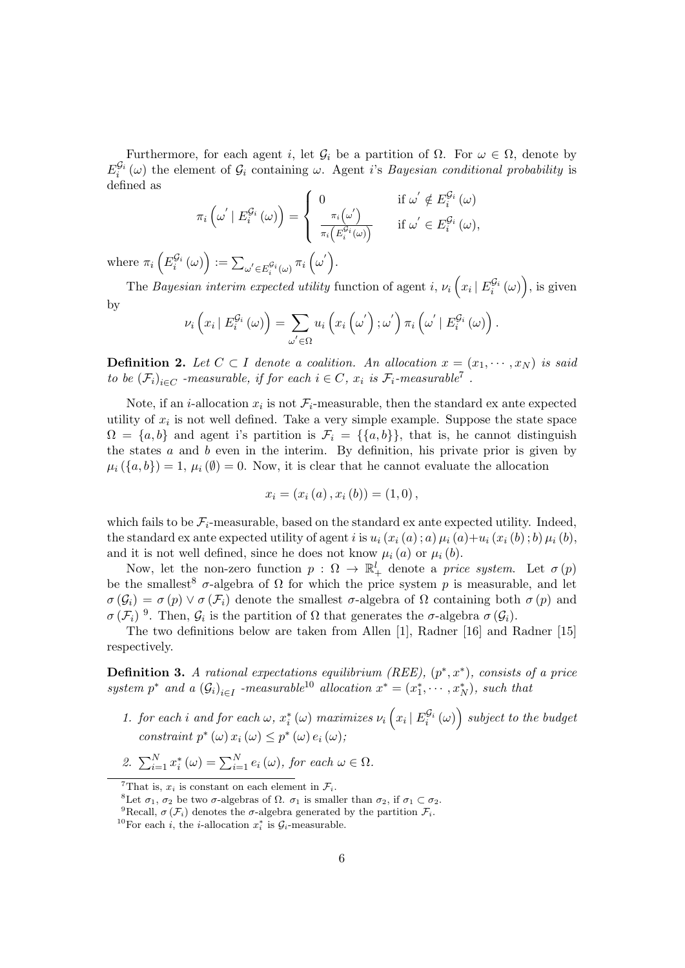Furthermore, for each agent i, let  $\mathcal{G}_i$  be a partition of  $\Omega$ . For  $\omega \in \Omega$ , denote by  $E_i^{\mathcal{G}_i}(\omega)$  the element of  $\mathcal{G}_i$  containing  $\omega$ . Agent i's *Bayesian conditional probability* is defined as

$$
\pi_i\left(\omega'\mid E_i^{\mathcal{G}_i}\left(\omega\right)\right) = \begin{cases} 0 & \text{if } \omega' \notin E_i^{\mathcal{G}_i}\left(\omega\right) \\ \frac{\pi_i\left(\omega'\right)}{\pi_i\left(E_i^{\mathcal{G}_i}\left(\omega\right)\right)} & \text{if } \omega' \in E_i^{\mathcal{G}_i}\left(\omega\right), \end{cases}
$$

where  $\pi_i\left(E_i^{\mathcal{G}_i}(\omega)\right) := \sum_{\omega' \in E_i^{\mathcal{G}_i}(\omega)} \pi_i\left(\omega'\right)$ .

The Bayesian interim expected utility function of agent i,  $\nu_i\left(x_i \mid E_i^{\mathcal{G}_i}(\omega)\right)$ , is given by

$$
\nu_{i}\left(x_{i} \mid E_{i}^{\mathcal{G}_{i}}\left(\omega\right)\right)=\sum_{\omega^{'}\in\Omega}u_{i}\left(x_{i}\left(\omega^{'}\right);\omega^{'}\right)\pi_{i}\left(\omega^{'} \mid E_{i}^{\mathcal{G}_{i}}\left(\omega\right)\right).
$$

**Definition 2.** Let  $C \subset I$  denote a coalition. An allocation  $x = (x_1, \dots, x_N)$  is said to be  $(\mathcal{F}_i)_{i \in C}$  -measurable, if for each  $i \in C$ ,  $x_i$  is  $\mathcal{F}_i$ -measurable<sup>7</sup>.

Note, if an *i*-allocation  $x_i$  is not  $\mathcal{F}_i$ -measurable, then the standard ex ante expected utility of  $x_i$  is not well defined. Take a very simple example. Suppose the state space  $\Omega = \{a, b\}$  and agent i's partition is  $\mathcal{F}_i = \{\{a, b\}\}\$ , that is, he cannot distinguish the states  $a$  and  $b$  even in the interim. By definition, his private prior is given by  $\mu_i$   $({a, b}) = 1, \mu_i$   $(\emptyset) = 0$ . Now, it is clear that he cannot evaluate the allocation

$$
x_i = (x_i(a), x_i(b)) = (1,0),
$$

which fails to be  $\mathcal{F}_i$ -measurable, based on the standard ex ante expected utility. Indeed, the standard ex ante expected utility of agent i is  $u_i(x_i(a); a) \mu_i(a) + u_i(x_i(b); b) \mu_i(b)$ . and it is not well defined, since he does not know  $\mu_i(a)$  or  $\mu_i(b)$ .

Now, let the non-zero function  $p: \Omega \to \mathbb{R}^l_+$  denote a price system. Let  $\sigma(p)$ be the smallest<sup>8</sup>  $\sigma$ -algebra of  $\Omega$  for which the price system p is measurable, and let  $\sigma(\mathcal{G}_i) = \sigma(p) \vee \sigma(\mathcal{F}_i)$  denote the smallest  $\sigma$ -algebra of  $\Omega$  containing both  $\sigma(p)$  and  $\sigma(\mathcal{F}_i)$ <sup>9</sup>. Then,  $\mathcal{G}_i$  is the partition of  $\Omega$  that generates the  $\sigma$ -algebra  $\sigma(\mathcal{G}_i)$ .

The two definitions below are taken from Allen [1], Radner [16] and Radner [15] respectively.

**Definition 3.** A rational expectations equilibrium (REE),  $(p^*, x^*)$ , consists of a price system  $p^*$  and a  $(G_i)_{i \in I}$  -measurable<sup>10</sup> allocation  $x^* = (x_1^*, \dots, x_N^*)$ , such that

- 1. for each i and for each  $\omega$ ,  $x_i^*(\omega)$  maximizes  $\nu_i\left(x_i\,|\,E_i^{\mathcal{G}_i}(\omega)\right)$  subject to the budget constraint  $p^*(\omega) x_i(\omega) \leq p^*(\omega) e_i(\omega)$ ;
- 2.  $\sum_{i=1}^{N} x_i^* (\omega) = \sum_{i=1}^{N} e_i (\omega)$ , for each  $\omega \in \Omega$ .

<sup>&</sup>lt;sup>7</sup>That is,  $x_i$  is constant on each element in  $\mathcal{F}_i$ .

<sup>&</sup>lt;sup>8</sup>Let  $\sigma_1$ ,  $\sigma_2$  be two  $\sigma$ -algebras of  $\Omega$ .  $\sigma_1$  is smaller than  $\sigma_2$ , if  $\sigma_1 \subset \sigma_2$ .

<sup>&</sup>lt;sup>9</sup>Recall,  $\sigma(\mathcal{F}_i)$  denotes the  $\sigma$ -algebra generated by the partition  $\mathcal{F}_i$ .

<sup>&</sup>lt;sup>10</sup>For each *i*, the *i*-allocation  $x_i^*$  is  $\mathcal{G}_i$ -measurable.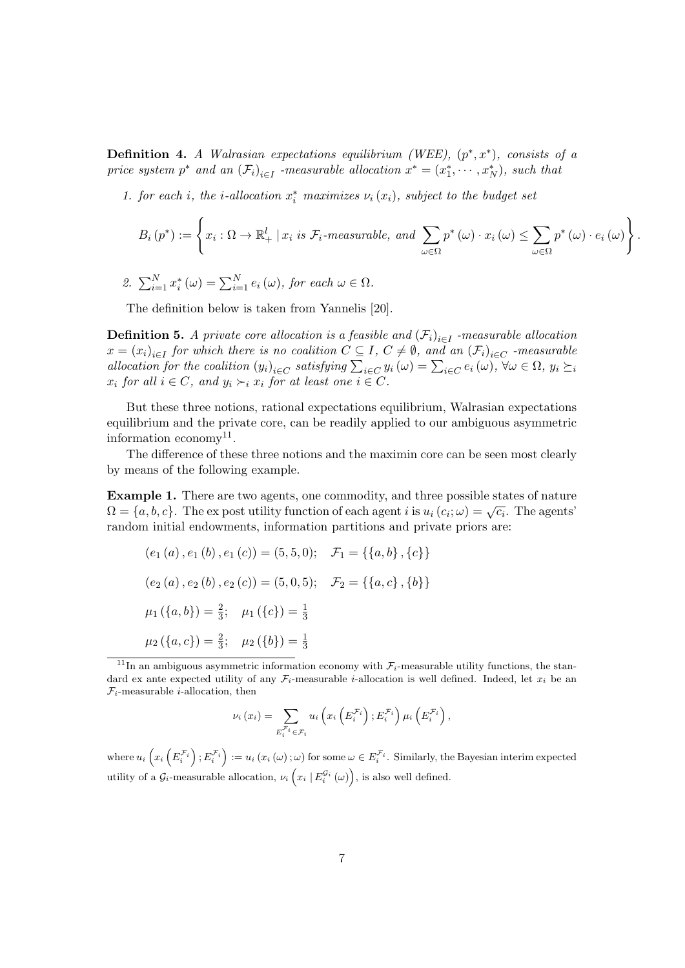**Definition 4.** A Walrasian expectations equilibrium (WEE),  $(p^*, x^*)$ , consists of a price system  $p^*$  and an  $(\mathcal{F}_i)_{i \in I}$  -measurable allocation  $x^* = (x_1^*, \dots, x_N^*)$ , such that

1. for each i, the i-allocation  $x_i^*$  maximizes  $\nu_i(x_i)$ , subject to the budget set

$$
B_{i}(p^{*}) := \left\{ x_{i} : \Omega \to \mathbb{R}_{+}^{l} \mid x_{i} \text{ is } \mathcal{F}_{i}\text{-measurable, and } \sum_{\omega \in \Omega} p^{*}(\omega) \cdot x_{i}(\omega) \leq \sum_{\omega \in \Omega} p^{*}(\omega) \cdot e_{i}(\omega) \right\}.
$$

2. 
$$
\sum_{i=1}^{N} x_i^* (\omega) = \sum_{i=1}^{N} e_i (\omega), \text{ for each } \omega \in \Omega.
$$

The definition below is taken from Yannelis [20].

**Definition 5.** A private core allocation is a feasible and  $(\mathcal{F}_i)_{i \in I}$  -measurable allocation  $x = (x_i)_{i \in I}$  for which there is no coalition  $C \subseteq I$ ,  $C \neq \emptyset$ , and an  $(\mathcal{F}_i)_{i \in C}$  -measurable allocation for the coalition  $(y_i)_{i \in C}$  satisfying  $\sum_{i \in C} y_i(\omega) = \sum_{i \in C} e_i(\omega)$ ,  $\forall \omega \in \Omega$ ,  $y_i \succeq i$  $x_i$  for all  $i \in C$ , and  $y_i \succ_i x_i$  for at least one  $i \in C$ .

But these three notions, rational expectations equilibrium, Walrasian expectations equilibrium and the private core, can be readily applied to our ambiguous asymmetric information economy<sup>11</sup>.

The difference of these three notions and the maximin core can be seen most clearly by means of the following example.

Example 1. There are two agents, one commodity, and three possible states of nature **Example 1:** There are two agents, one commodity, and time possible states of nature  $\Omega = \{a, b, c\}$ . The ex post utility function of each agent i is  $u_i(c_i; \omega) = \sqrt{c_i}$ . The agents' random initial endowments, information partitions and private priors are:

$$
(e_1(a), e_1(b), e_1(c)) = (5,5,0); \quad \mathcal{F}_1 = \{\{a,b\}, \{c\}\}\
$$

$$
(e_2(a), e_2(b), e_2(c)) = (5,0,5); \quad \mathcal{F}_2 = \{\{a,c\}, \{b\}\}\
$$

$$
\mu_1(\{a,b\}) = \frac{2}{3}; \quad \mu_1(\{c\}) = \frac{1}{3}
$$

$$
\mu_2(\{a,c\}) = \frac{2}{3}; \quad \mu_2(\{b\}) = \frac{1}{3}
$$

$$
\nu_i(x_i) = \sum_{E_i^{\mathcal{F}_i} \in \mathcal{F}_i} u_i\left(x_i\left(E_i^{\mathcal{F}_i}\right); E_i^{\mathcal{F}_i}\right) \mu_i\left(E_i^{\mathcal{F}_i}\right),
$$

where  $u_i\left(x_i\left(E_i^{\mathcal{F}_i}\right);E_i^{\mathcal{F}_i}\right):=u_i\left(x_i\left(\omega\right);\omega\right)$  for some  $\omega\in E_i^{\mathcal{F}_i}$ . Similarly, the Bayesian interim expected utility of a  $\mathcal{G}_i$ -measurable allocation,  $\nu_i\left(x_i \mid E_i^{\mathcal{G}_i}(\omega)\right)$ , is also well defined.

<sup>&</sup>lt;sup>11</sup>In an ambiguous asymmetric information economy with  $\mathcal{F}_i$ -measurable utility functions, the standard ex ante expected utility of any  $\mathcal{F}_i$ -measurable *i*-allocation is well defined. Indeed, let  $x_i$  be an  $\mathcal{F}_i$ -measurable *i*-allocation, then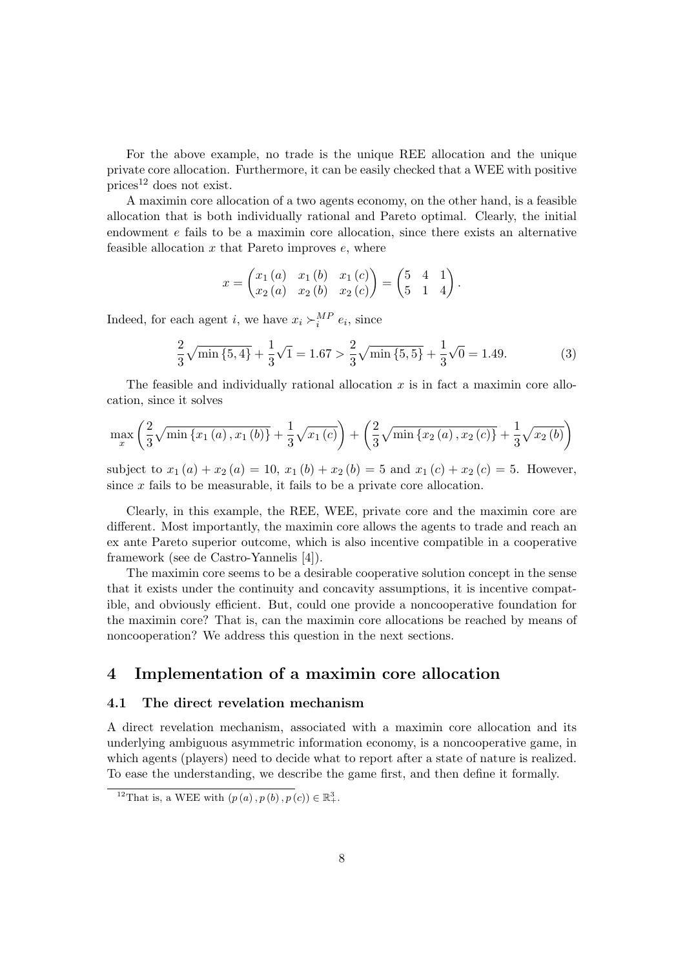For the above example, no trade is the unique REE allocation and the unique private core allocation. Furthermore, it can be easily checked that a WEE with positive prices<sup>12</sup> does not exist.

A maximin core allocation of a two agents economy, on the other hand, is a feasible allocation that is both individually rational and Pareto optimal. Clearly, the initial endowment e fails to be a maximin core allocation, since there exists an alternative feasible allocation  $x$  that Pareto improves  $e$ , where

$$
x = \begin{pmatrix} x_1(a) & x_1(b) & x_1(c) \\ x_2(a) & x_2(b) & x_2(c) \end{pmatrix} = \begin{pmatrix} 5 & 4 & 1 \\ 5 & 1 & 4 \end{pmatrix}.
$$

Indeed, for each agent *i*, we have  $x_i \succ_i^{MP} e_i$ , since

$$
\frac{2}{3}\sqrt{\min\{5,4\}} + \frac{1}{3}\sqrt{1} = 1.67 > \frac{2}{3}\sqrt{\min\{5,5\}} + \frac{1}{3}\sqrt{0} = 1.49. \tag{3}
$$

The feasible and individually rational allocation  $x$  is in fact a maximin core allocation, since it solves

$$
\max_{x} \left( \frac{2}{3} \sqrt{\min \{x_1(a), x_1(b)\}} + \frac{1}{3} \sqrt{x_1(c)} \right) + \left( \frac{2}{3} \sqrt{\min \{x_2(a), x_2(c)\}} + \frac{1}{3} \sqrt{x_2(b)} \right)
$$

subject to  $x_1(a) + x_2(a) = 10$ ,  $x_1(b) + x_2(b) = 5$  and  $x_1(c) + x_2(c) = 5$ . However, since  $x$  fails to be measurable, it fails to be a private core allocation.

Clearly, in this example, the REE, WEE, private core and the maximin core are different. Most importantly, the maximin core allows the agents to trade and reach an ex ante Pareto superior outcome, which is also incentive compatible in a cooperative framework (see de Castro-Yannelis [4]).

The maximin core seems to be a desirable cooperative solution concept in the sense that it exists under the continuity and concavity assumptions, it is incentive compatible, and obviously efficient. But, could one provide a noncooperative foundation for the maximin core? That is, can the maximin core allocations be reached by means of noncooperation? We address this question in the next sections.

# 4 Implementation of a maximin core allocation

#### 4.1 The direct revelation mechanism

A direct revelation mechanism, associated with a maximin core allocation and its underlying ambiguous asymmetric information economy, is a noncooperative game, in which agents (players) need to decide what to report after a state of nature is realized. To ease the understanding, we describe the game first, and then define it formally.

<sup>&</sup>lt;sup>12</sup>That is, a WEE with  $(p(a), p(b), p(c)) \in \mathbb{R}^3_+$ .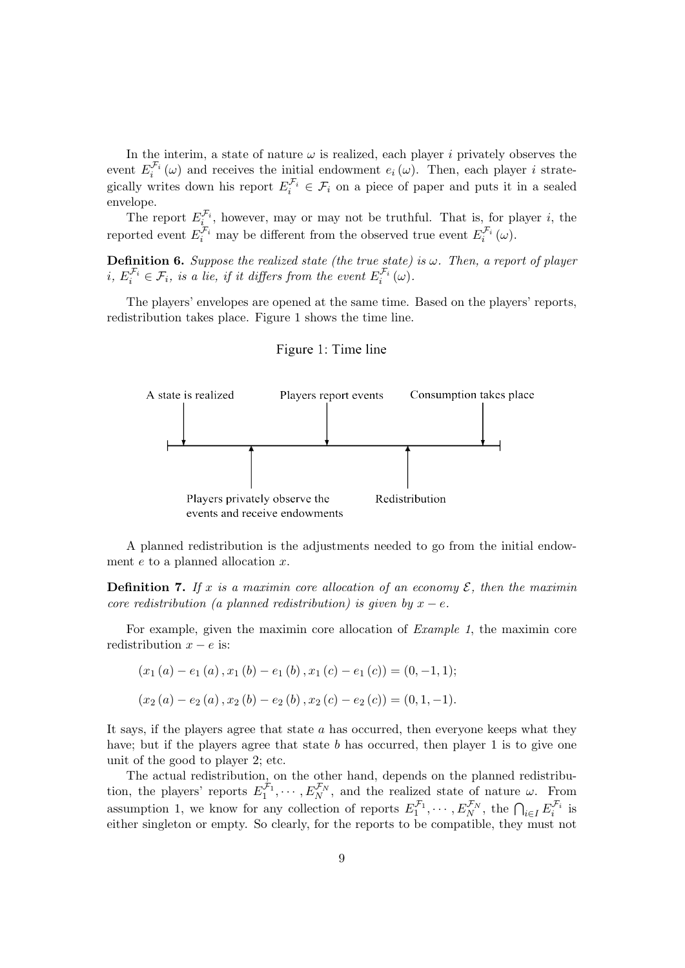In the interim, a state of nature  $\omega$  is realized, each player i privately observes the event  $E_i^{\mathcal{F}_i}(\omega)$  and receives the initial endowment  $e_i(\omega)$ . Then, each player i strategically writes down his report  $E_i^{\mathcal{F}_i} \in \mathcal{F}_i$  on a piece of paper and puts it in a sealed envelope.

The report  $E_i^{\mathcal{F}_i}$ , however, may or may not be truthful. That is, for player i, the reported event  $E_i^{\mathcal{F}_i}$  may be different from the observed true event  $E_i^{\mathcal{F}_i}(\omega)$ .

**Definition 6.** Suppose the realized state (the true state) is  $\omega$ . Then, a report of player  $i, E_i^{\mathcal{F}_i} \in \mathcal{F}_i$ , is a lie, if it differs from the event  $E_i^{\mathcal{F}_i}(\omega)$ .

The players' envelopes are opened at the same time. Based on the players' reports, redistribution takes place. Figure 1 shows the time line.

#### Figure 1: Time line



A planned redistribution is the adjustments needed to go from the initial endowment  $e$  to a planned allocation  $x$ .

**Definition 7.** If x is a maximin core allocation of an economy  $\mathcal{E}$ , then the maximin core redistribution (a planned redistribution) is given by  $x - e$ .

For example, given the maximin core allocation of Example 1, the maximin core redistribution  $x - e$  is:

$$
(x_1(a) - e_1(a), x_1(b) - e_1(b), x_1(c) - e_1(c)) = (0, -1, 1);
$$
  

$$
(x_2(a) - e_2(a), x_2(b) - e_2(b), x_2(c) - e_2(c)) = (0, 1, -1).
$$

It says, if the players agree that state  $a$  has occurred, then everyone keeps what they have; but if the players agree that state  $b$  has occurred, then player 1 is to give one unit of the good to player 2; etc.

The actual redistribution, on the other hand, depends on the planned redistribution, the players' reports  $E_1^{\mathcal{F}_1}, \cdots, E_N^{\mathcal{F}_N}$ , and the realized state of nature  $\omega$ . From assumption 1, we know for any collection of reports  $E_1^{\mathcal{F}_1}, \cdots, E_N^{\mathcal{F}_N}$ , the  $\bigcap_{i \in I} E_i^{\mathcal{F}_i}$  is either singleton or empty. So clearly, for the reports to be compatible, they must not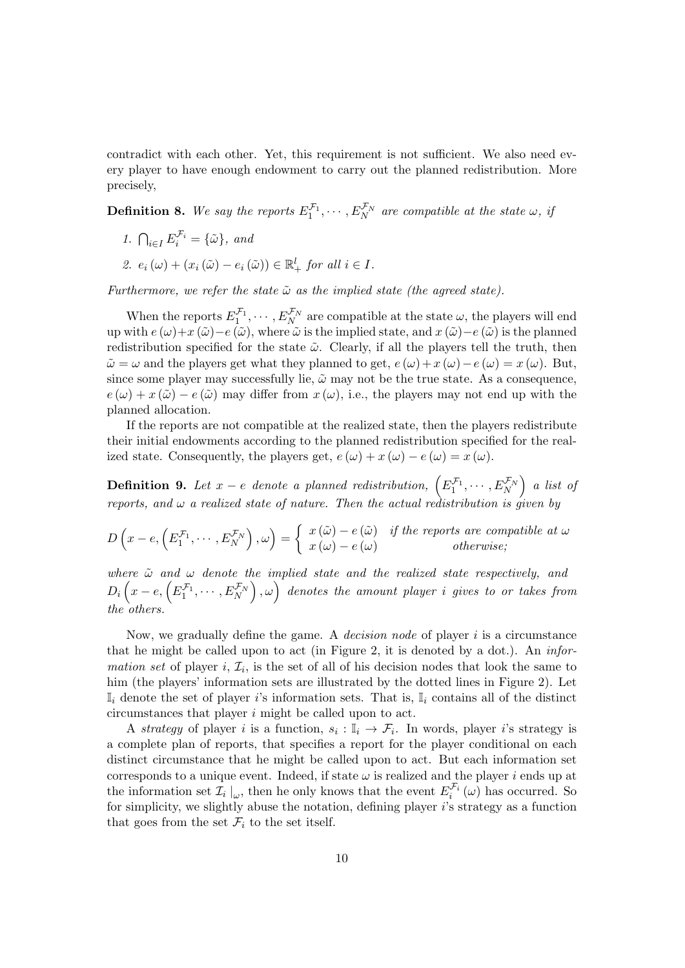contradict with each other. Yet, this requirement is not sufficient. We also need every player to have enough endowment to carry out the planned redistribution. More precisely,

**Definition 8.** We say the reports  $E_1^{\mathcal{F}_1}, \cdots, E_N^{\mathcal{F}_N}$  are compatible at the state  $\omega$ , if

- 1.  $\bigcap_{i\in I} E_i^{\mathcal{F}_i} = \{\tilde{\omega}\},\text{ and}$
- 2.  $e_i(\omega) + (x_i(\tilde{\omega}) e_i(\tilde{\omega})) \in \mathbb{R}^l_+$  for all  $i \in I$ .

Furthermore, we refer the state  $\tilde{\omega}$  as the implied state (the agreed state).

When the reports  $E_1^{\mathcal{F}_1}, \cdots, E_N^{\mathcal{F}_N}$  are compatible at the state  $\omega$ , the players will end up with  $e(\omega)+x(\tilde{\omega})-e(\tilde{\omega})$ , where  $\tilde{\omega}$  is the implied state, and  $x(\tilde{\omega})-e(\tilde{\omega})$  is the planned redistribution specified for the state  $\tilde{\omega}$ . Clearly, if all the players tell the truth, then  $\tilde{\omega} = \omega$  and the players get what they planned to get,  $e(\omega) + x(\omega) - e(\omega) = x(\omega)$ . But, since some player may successfully lie,  $\tilde{\omega}$  may not be the true state. As a consequence,  $e(\omega) + x(\tilde{\omega}) - e(\tilde{\omega})$  may differ from  $x(\omega)$ , i.e., the players may not end up with the planned allocation.

If the reports are not compatible at the realized state, then the players redistribute their initial endowments according to the planned redistribution specified for the realized state. Consequently, the players get,  $e(\omega) + x(\omega) - e(\omega) = x(\omega)$ .

**Definition 9.** Let  $x-e$  denote a planned redistribution,  $\left(E_1^{\mathcal{F}_1},\cdots,E_N^{\mathcal{F}_N}\right)$  a list of reports, and  $\omega$  a realized state of nature. Then the actual redistribution is given by

$$
D\left(x - e, \left(E_1^{\mathcal{F}_1}, \cdots, E_N^{\mathcal{F}_N}\right), \omega\right) = \begin{cases} x(\tilde{\omega}) - e(\tilde{\omega}) & \text{if the reports are compatible at } \omega \\ x(\omega) - e(\omega) & \text{otherwise;} \end{cases}
$$

where  $\tilde{\omega}$  and  $\omega$  denote the implied state and the realized state respectively, and  $D_i\left(x-e,\left(E_1^{\mathcal{F}_1},\cdots,E_N^{\mathcal{F}_N}\right),\omega\right)\;$  denotes the amount player  $i$  gives to or takes from the others.

Now, we gradually define the game. A *decision node* of player i is a circumstance that he might be called upon to act (in Figure 2, it is denoted by a dot.). An *infor*mation set of player i,  $\mathcal{I}_i$ , is the set of all of his decision nodes that look the same to him (the players' information sets are illustrated by the dotted lines in Figure 2). Let  $\mathbb{I}_i$  denote the set of player is information sets. That is,  $\mathbb{I}_i$  contains all of the distinct circumstances that player i might be called upon to act.

A strategy of player i is a function,  $s_i : \mathbb{I}_i \to \mathcal{F}_i$ . In words, player i's strategy is a complete plan of reports, that specifies a report for the player conditional on each distinct circumstance that he might be called upon to act. But each information set corresponds to a unique event. Indeed, if state  $\omega$  is realized and the player i ends up at the information set  $\mathcal{I}_i \mid_{\omega}$ , then he only knows that the event  $E_i^{\mathcal{F}_i}(\omega)$  has occurred. So for simplicity, we slightly abuse the notation, defining player  $i$ 's strategy as a function that goes from the set  $\mathcal{F}_i$  to the set itself.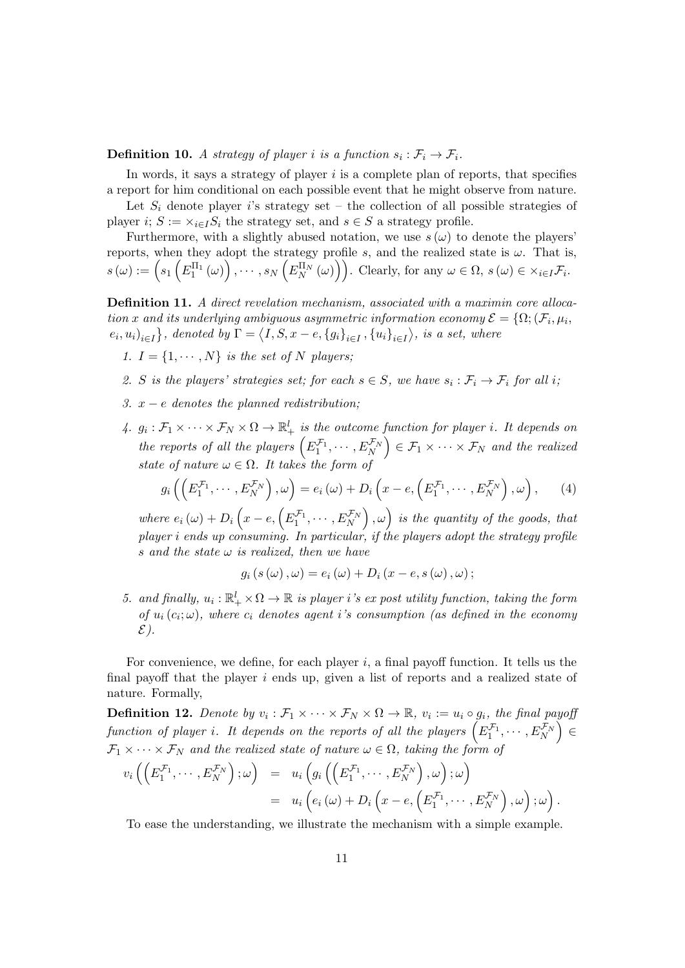**Definition 10.** A strategy of player i is a function  $s_i : \mathcal{F}_i \to \mathcal{F}_i$ .

In words, it says a strategy of player  $i$  is a complete plan of reports, that specifies a report for him conditional on each possible event that he might observe from nature.

Let  $S_i$  denote player is strategy set – the collection of all possible strategies of player i;  $S := \times_{i \in I} S_i$  the strategy set, and  $s \in S$  a strategy profile.

Furthermore, with a slightly abused notation, we use  $s(\omega)$  to denote the players' reports, when they adopt the strategy profile s, and the realized state is  $\omega$ . That is,  $s(\omega) := \left(s_1\left(E_1^{\Pi_1}(\omega)\right), \cdots, s_N\left(E_N^{\Pi_N}(\omega)\right)\right).$  Clearly, for any  $\omega \in \Omega$ ,  $s(\omega) \in \times_{i \in I} \mathcal{F}_i$ .

Definition 11. A direct revelation mechanism, associated with a maximin core allocation x and its underlying ambiguous asymmetric information economy  $\mathcal{E} = \{\Omega; (\mathcal{F}_i, \mu_i, \mathcal{F}_j, \mu_j, \mathcal{F}_k, \mu_i, \mathcal{F}_k, \mu_i, \mathcal{F}_k, \mu_i, \mathcal{F}_k, \mu_i, \mathcal{F}_k, \mu_i, \mathcal{F}_k, \mu_i, \mathcal{F}_k, \mu_i, \mathcal{F}_k, \mu_i, \mathcal{F}_k, \mu_i, \mathcal{F}_k, \mu$  $(e_i, u_i)_{i \in I}$ , denoted by  $\Gamma = \langle I, S, x - e, \{g_i\}_{i \in I}, \{u_i\}_{i \in I} \rangle$ , is a set, where

- 1.  $I = \{1, \dots, N\}$  is the set of N players;
- 2. S is the players' strategies set; for each  $s \in S$ , we have  $s_i : \mathcal{F}_i \to \mathcal{F}_i$  for all i;
- 3.  $x e$  denotes the planned redistribution;
- 4.  $g_i : \mathcal{F}_1 \times \cdots \times \mathcal{F}_N \times \Omega \to \mathbb{R}^l_+$  is the outcome function for player i. It depends on the reports of all the players  $(E_1^{\mathcal{F}_1}, \cdots, E_N^{\mathcal{F}_N}) \in \mathcal{F}_1 \times \cdots \times \mathcal{F}_N$  and the realized state of nature  $\omega \in \Omega$ . It takes the form of

$$
g_i\left(\left(E_1^{\mathcal{F}_1},\cdots,E_N^{\mathcal{F}_N}\right),\omega\right)=e_i\left(\omega\right)+D_i\left(x-e,\left(E_1^{\mathcal{F}_1},\cdots,E_N^{\mathcal{F}_N}\right),\omega\right),\qquad(4)
$$

where  $e_i(\omega) + D_i\left(x - e, \left(E_1^{\mathcal{F}_1}, \cdots, E_N^{\mathcal{F}_N}\right), \omega\right)$  is the quantity of the goods, that player i ends up consuming. In particular, if the players adopt the strategy profile s and the state  $\omega$  is realized, then we have

$$
g_i(s(\omega), \omega) = e_i(\omega) + D_i(x - e, s(\omega), \omega);
$$

5. and finally,  $u_i : \mathbb{R}^l_+ \times \Omega \to \mathbb{R}$  is player i's expost utility function, taking the form of  $u_i(c_i; \omega)$ , where  $c_i$  denotes agent i's consumption (as defined in the economy  $\mathcal{E}$ ).

For convenience, we define, for each player  $i$ , a final payoff function. It tells us the final payoff that the player i ends up, given a list of reports and a realized state of nature. Formally,

**Definition 12.** Denote by  $v_i : \mathcal{F}_1 \times \cdots \times \mathcal{F}_N \times \Omega \to \mathbb{R}$ ,  $v_i := u_i \circ g_i$ , the final payoff function of player i. It depends on the reports of all the players  $\left(E_1^{\mathcal{F}_1},\cdots,E_N^{\mathcal{F}_N}\right)\in$  $\mathcal{F}_1 \times \cdots \times \mathcal{F}_N$  and the realized state of nature  $\omega \in \Omega$ , taking the form of

$$
v_i\left(\left(E_1^{\mathcal{F}_1},\cdots,E_N^{\mathcal{F}_N}\right);\omega\right) = u_i\left(g_i\left(\left(E_1^{\mathcal{F}_1},\cdots,E_N^{\mathcal{F}_N}\right),\omega\right);\omega\right)
$$
  

$$
= u_i\left(e_i\left(\omega\right)+D_i\left(x-e,\left(E_1^{\mathcal{F}_1},\cdots,E_N^{\mathcal{F}_N}\right),\omega\right);\omega\right).
$$

To ease the understanding, we illustrate the mechanism with a simple example.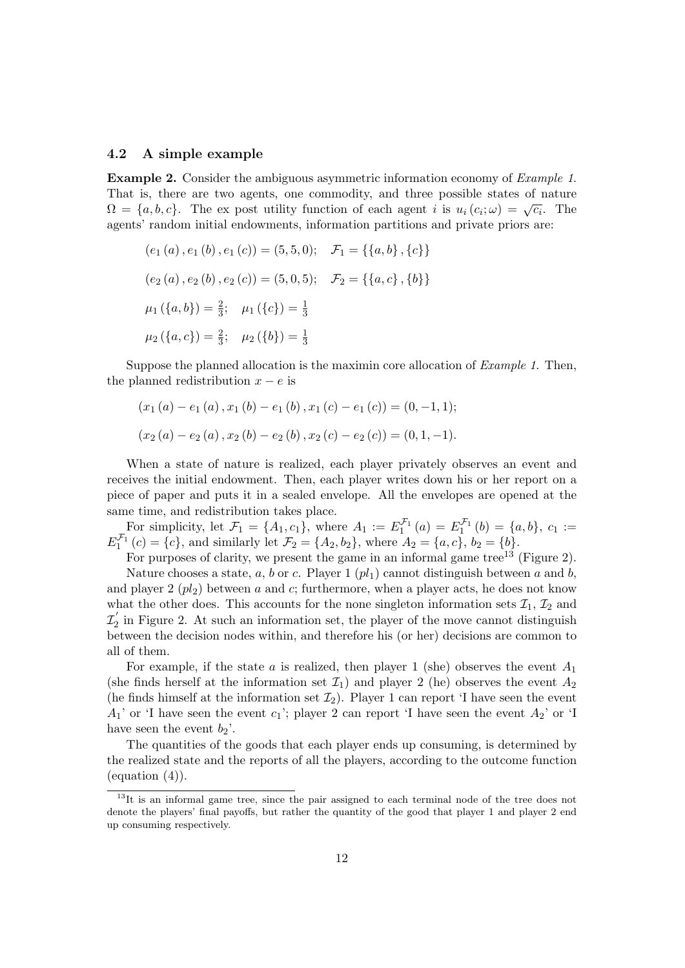#### 4.2 A simple example

Example 2. Consider the ambiguous asymmetric information economy of Example 1. That is, there are two agents, one commodity, and three possible states of nature That is, there are two agents, one commodity, and three possible states of hattice  $\Omega = \{a, b, c\}$ . The ex post utility function of each agent i is  $u_i(c_i; \omega) = \sqrt{c_i}$ . The agents' random initial endowments, information partitions and private priors are:

$$
(e_1(a), e_1(b), e_1(c)) = (5, 5, 0); \quad \mathcal{F}_1 = \{\{a, b\}, \{c\}\}\
$$

$$
(e_2(a), e_2(b), e_2(c)) = (5, 0, 5); \quad \mathcal{F}_2 = \{\{a, c\}, \{b\}\}\
$$

$$
\mu_1(\{a, b\}) = \frac{2}{3}; \quad \mu_1(\{c\}) = \frac{1}{3}
$$

$$
\mu_2(\{a, c\}) = \frac{2}{3}; \quad \mu_2(\{b\}) = \frac{1}{3}
$$

Suppose the planned allocation is the maximin core allocation of Example 1. Then, the planned redistribution  $x - e$  is

$$
(x_1(a) - e_1(a), x_1(b) - e_1(b), x_1(c) - e_1(c)) = (0, -1, 1);
$$
  

$$
(x_2(a) - e_2(a), x_2(b) - e_2(b), x_2(c) - e_2(c)) = (0, 1, -1).
$$

When a state of nature is realized, each player privately observes an event and receives the initial endowment. Then, each player writes down his or her report on a piece of paper and puts it in a sealed envelope. All the envelopes are opened at the same time, and redistribution takes place.

For simplicity, let  $\mathcal{F}_1 = \{A_1, c_1\}$ , where  $A_1 := E_1^{\mathcal{F}_1}(a) = E_1^{\mathcal{F}_1}(b) = \{a, b\}$ ,  $c_1 :=$  $E_1^{\mathcal{F}_1}(c) = \{c\}$ , and similarly let  $\mathcal{F}_2 = \{A_2, b_2\}$ , where  $A_2 = \{a, c\}$ ,  $b_2 = \{b\}$ .

For purposes of clarity, we present the game in an informal game tree<sup>13</sup> (Figure 2). Nature chooses a state, a, b or c. Player 1  $\left[ pl_{1}\right]$  cannot distinguish between a and b, and player  $2 (p l_2)$  between a and c; furthermore, when a player acts, he does not know what the other does. This accounts for the none singleton information sets  $\mathcal{I}_1, \mathcal{I}_2$  and  $\mathcal{I}^{'}_2$  $\frac{1}{2}$  in Figure 2. At such an information set, the player of the move cannot distinguish between the decision nodes within, and therefore his (or her) decisions are common to all of them.

For example, if the state a is realized, then player 1 (she) observes the event  $A_1$ (she finds herself at the information set  $\mathcal{I}_1$ ) and player 2 (he) observes the event  $A_2$ (he finds himself at the information set  $\mathcal{I}_2$ ). Player 1 can report 'I have seen the event  $A_1'$  or 'I have seen the event  $c_1$ '; player 2 can report 'I have seen the event  $A_2'$  or 'I have seen the event  $b_2$ '.

The quantities of the goods that each player ends up consuming, is determined by the realized state and the reports of all the players, according to the outcome function  $(equation (4)).$ 

<sup>&</sup>lt;sup>13</sup>It is an informal game tree, since the pair assigned to each terminal node of the tree does not denote the players' final payoffs, but rather the quantity of the good that player 1 and player 2 end up consuming respectively.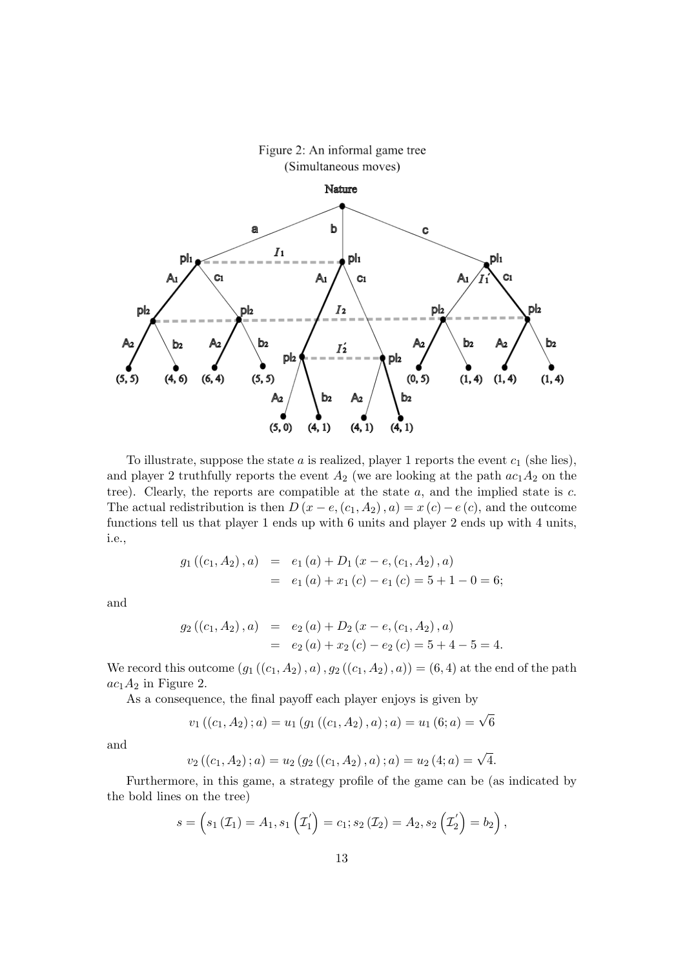

To illustrate, suppose the state  $a$  is realized, player 1 reports the event  $c_1$  (she lies), and player 2 truthfully reports the event  $A_2$  (we are looking at the path  $ac_1A_2$  on the tree). Clearly, the reports are compatible at the state  $a$ , and the implied state is  $c$ . The actual redistribution is then  $D(x - e, (c_1, A_2), a) = x(c) - e(c)$ , and the outcome functions tell us that player 1 ends up with 6 units and player 2 ends up with 4 units, i.e.,

$$
g_1 ((c_1, A_2), a) = e_1 (a) + D_1 (x - e, (c_1, A_2), a)
$$
  
=  $e_1 (a) + x_1 (c) - e_1 (c) = 5 + 1 - 0 = 6;$ 

and

$$
g_2((c_1, A_2), a) = e_2(a) + D_2(x - e, (c_1, A_2), a)
$$
  
=  $e_2(a) + x_2(c) - e_2(c) = 5 + 4 - 5 = 4.$ 

We record this outcome  $(g_1((c_1, A_2), a), g_2((c_1, A_2), a)) = (6, 4)$  at the end of the path  $ac_1A_2$  in Figure 2.

As a consequence, the final payoff each player enjoys is given by

$$
v_1((c_1, A_2); a) = u_1(g_1((c_1, A_2), a); a) = u_1(6; a) = \sqrt{6}
$$

and

$$
v_2((c_1, A_2); a) = u_2(g_2((c_1, A_2), a); a) = u_2(4; a) = \sqrt{4}.
$$

Furthermore, in this game, a strategy profile of the game can be (as indicated by the bold lines on the tree)

$$
s = \left(s_1\left(\mathcal{I}_1\right) = A_1, s_1\left(\mathcal{I}_1'\right) = c_1; s_2\left(\mathcal{I}_2\right) = A_2, s_2\left(\mathcal{I}_2'\right) = b_2\right),
$$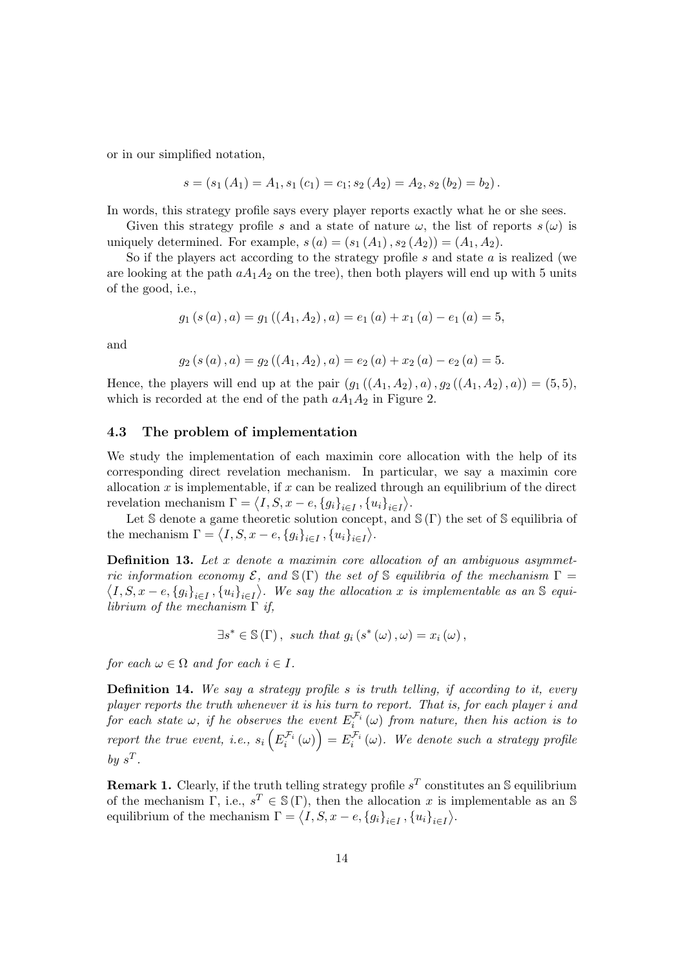or in our simplified notation,

$$
s = (s_1(A_1) = A_1, s_1(c_1) = c_1; s_2(A_2) = A_2, s_2(b_2) = b_2).
$$

In words, this strategy profile says every player reports exactly what he or she sees.

Given this strategy profile s and a state of nature  $\omega$ , the list of reports  $s(\omega)$  is uniquely determined. For example,  $s(a) = (s_1(A_1), s_2(A_2)) = (A_1, A_2)$ .

So if the players act according to the strategy profile  $s$  and state  $a$  is realized (we are looking at the path  $aA_1A_2$  on the tree), then both players will end up with 5 units of the good, i.e.,

$$
g_1(s(a), a) = g_1((A_1, A_2), a) = e_1(a) + x_1(a) - e_1(a) = 5,
$$

and

$$
g_2(s(a), a) = g_2((A_1, A_2), a) = e_2(a) + x_2(a) - e_2(a) = 5.
$$

Hence, the players will end up at the pair  $(g_1((A_1, A_2), a), g_2((A_1, A_2), a)) = (5, 5),$ which is recorded at the end of the path  $aA_1A_2$  in Figure 2.

#### 4.3 The problem of implementation

We study the implementation of each maximin core allocation with the help of its corresponding direct revelation mechanism. In particular, we say a maximin core allocation  $x$  is implementable, if  $x$  can be realized through an equilibrium of the direct revelation mechanism  $\Gamma = \langle I, S, x - e, \{g_i\}_{i \in I}, \{u_i\}_{i \in I} \rangle$ .

Let S denote a game theoretic solution concept, and  $\mathcal{S}(\Gamma)$  the set of S equilibria of the mechanism  $\Gamma = \langle I, S, x - e, \{g_i\}_{i \in I}, \{u_i\}_{i \in I} \rangle$ .

**Definition 13.** Let  $x$  denote a maximin core allocation of an ambiguous asymmetric information economy  $\mathcal{E}$ , and  $\mathcal{S}(\Gamma)$  the set of  $\mathcal{S}$  equilibria of the mechanism  $\Gamma$  =  $\langle I, S, x-e, \{g_i\}_{i\in I}, \{u_i\}_{i\in I}\rangle$ . We say the allocation x is implementable as an S equilibrium of the mechanism  $\Gamma$  if,

$$
\exists s^* \in \mathbb{S}(\Gamma) , \text{ such that } g_i(s^*(\omega), \omega) = x_i(\omega),
$$

for each  $\omega \in \Omega$  and for each  $i \in I$ .

**Definition 14.** We say a strategy profile s is truth telling, if according to it, every player reports the truth whenever it is his turn to report. That is, for each player i and for each state  $\omega$ , if he observes the event  $E_i^{\mathcal{F}_i}(\omega)$  from nature, then his action is to report the true event, i.e.,  $s_i\left(E_i^{\mathcal{F}_i}(\omega)\right) = E_i^{\mathcal{F}_i}(\omega)$ . We denote such a strategy profile by  $s^T$ .

**Remark 1.** Clearly, if the truth telling strategy profile  $s^T$  constitutes an S equilibrium of the mechanism  $\Gamma$ , i.e.,  $s^T \in \mathcal{S}(\Gamma)$ , then the allocation x is implementable as an S equilibrium of the mechanism  $\Gamma = \langle I, S, x - e, \{g_i\}_{i \in I}, \{u_i\}_{i \in I} \rangle$ .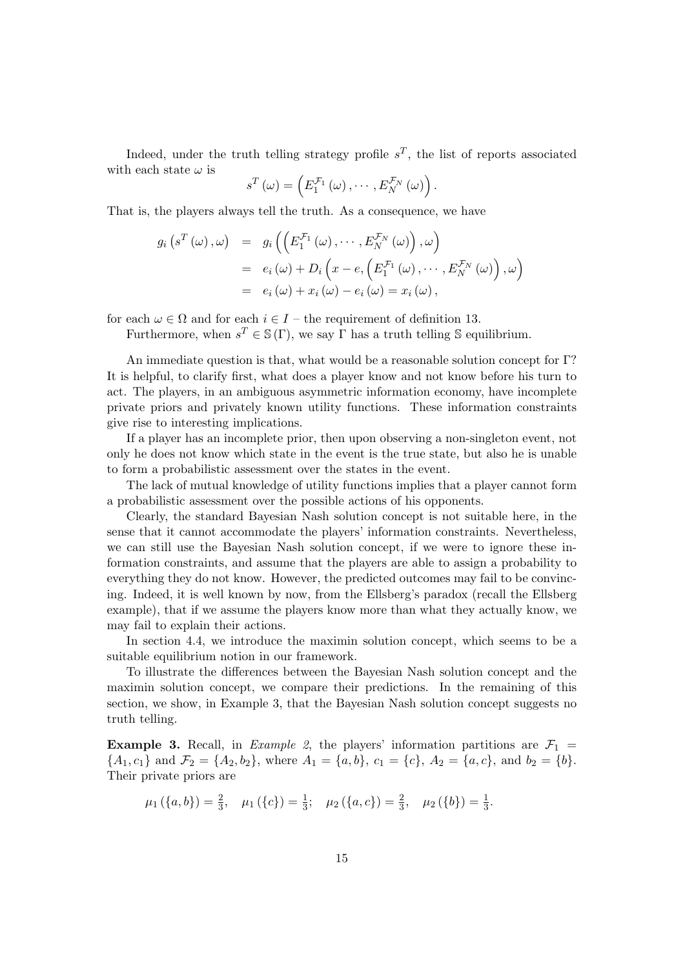Indeed, under the truth telling strategy profile  $s^T$ , the list of reports associated with each state  $\omega$  is

$$
s^T(\omega) = \left( E_1^{\mathcal{F}_1}(\omega), \cdots, E_N^{\mathcal{F}_N}(\omega) \right).
$$

That is, the players always tell the truth. As a consequence, we have

$$
g_i\left(s^T\left(\omega\right), \omega\right) = g_i\left(\left(E_1^{\mathcal{F}_1}\left(\omega\right), \cdots, E_N^{\mathcal{F}_N}\left(\omega\right)\right), \omega\right)
$$
  

$$
= e_i\left(\omega\right) + D_i\left(x - e, \left(E_1^{\mathcal{F}_1}\left(\omega\right), \cdots, E_N^{\mathcal{F}_N}\left(\omega\right)\right), \omega\right)
$$
  

$$
= e_i\left(\omega\right) + x_i\left(\omega\right) - e_i\left(\omega\right) = x_i\left(\omega\right),
$$

for each  $\omega \in \Omega$  and for each  $i \in I$  – the requirement of definition 13.

Furthermore, when  $s^T \in \mathcal{S}(\Gamma)$ , we say  $\Gamma$  has a truth telling  $\mathcal{S}$  equilibrium.

An immediate question is that, what would be a reasonable solution concept for Γ? It is helpful, to clarify first, what does a player know and not know before his turn to act. The players, in an ambiguous asymmetric information economy, have incomplete private priors and privately known utility functions. These information constraints give rise to interesting implications.

If a player has an incomplete prior, then upon observing a non-singleton event, not only he does not know which state in the event is the true state, but also he is unable to form a probabilistic assessment over the states in the event.

The lack of mutual knowledge of utility functions implies that a player cannot form a probabilistic assessment over the possible actions of his opponents.

Clearly, the standard Bayesian Nash solution concept is not suitable here, in the sense that it cannot accommodate the players' information constraints. Nevertheless, we can still use the Bayesian Nash solution concept, if we were to ignore these information constraints, and assume that the players are able to assign a probability to everything they do not know. However, the predicted outcomes may fail to be convincing. Indeed, it is well known by now, from the Ellsberg's paradox (recall the Ellsberg example), that if we assume the players know more than what they actually know, we may fail to explain their actions.

In section 4.4, we introduce the maximin solution concept, which seems to be a suitable equilibrium notion in our framework.

To illustrate the differences between the Bayesian Nash solution concept and the maximin solution concept, we compare their predictions. In the remaining of this section, we show, in Example 3, that the Bayesian Nash solution concept suggests no truth telling.

**Example 3.** Recall, in *Example 2*, the players' information partitions are  $\mathcal{F}_1$  =  ${A_1, c_1}$  and  $\mathcal{F}_2 = {A_2, b_2}$ , where  $A_1 = {a, b}$ ,  $c_1 = {c}$ ,  $A_2 = {a, c}$ , and  $b_2 = {b}$ . Their private priors are

$$
\mu_1(\{a,b\}) = \frac{2}{3}, \quad \mu_1(\{c\}) = \frac{1}{3}; \quad \mu_2(\{a,c\}) = \frac{2}{3}, \quad \mu_2(\{b\}) = \frac{1}{3}.
$$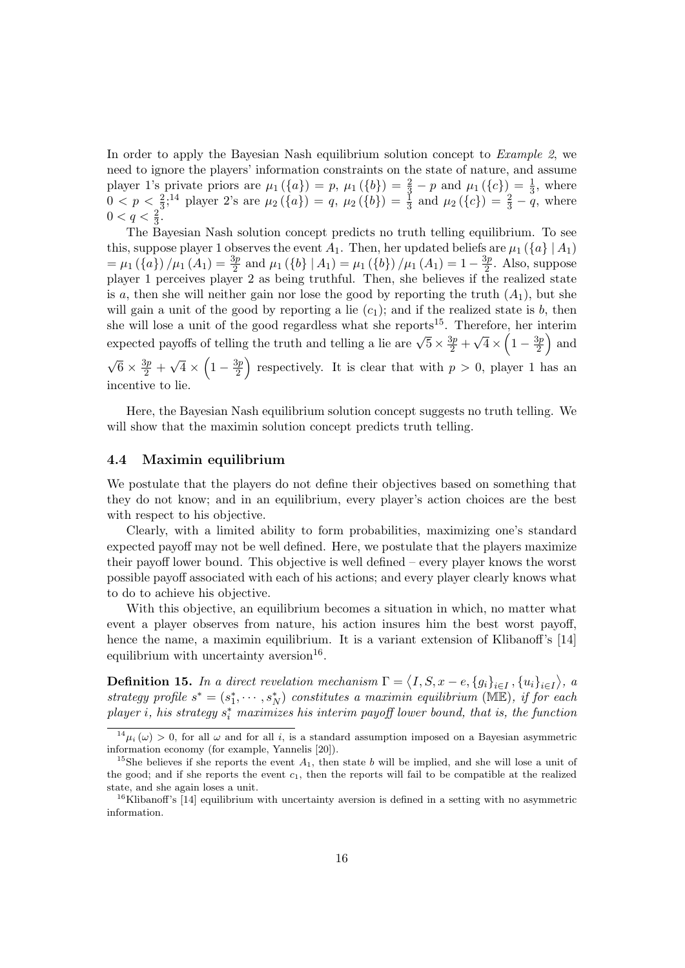In order to apply the Bayesian Nash equilibrium solution concept to *Example 2*, we need to ignore the players' information constraints on the state of nature, and assume player 1's private priors are  $\mu_1(\{a\}) = p$ ,  $\mu_1(\{b\}) = \frac{2}{3} - p$  and  $\mu_1(\{c\}) = \frac{1}{3}$ , where  $0 < p < \frac{2}{3}$ ,<sup>14</sup> player 2's are  $\mu_2(\{a\}) = q$ ,  $\mu_2(\{b\}) = \frac{1}{3}$  and  $\mu_2(\{c\}) = \frac{2}{3} - q$ , where  $0 < q < \frac{2}{3}$ .

The Bayesian Nash solution concept predicts no truth telling equilibrium. To see this, suppose player 1 observes the event  $A_1$ . Then, her updated beliefs are  $\mu_1$  ( $\{a\}$ )  $A_1$ )  $=\mu_1(\{a\})/\mu_1(A_1)=\frac{3p}{2}$  and  $\mu_1(\{b\} | A_1) = \mu_1(\{b\})/\mu_1(A_1) = 1 - \frac{3p}{2}$  $\frac{3p}{2}$ . Also, suppose player 1 perceives player 2 as being truthful. Then, she believes if the realized state is a, then she will neither gain nor lose the good by reporting the truth  $(A_1)$ , but she will gain a unit of the good by reporting a lie  $(c_1)$ ; and if the realized state is b, then she will lose a unit of the good regardless what she reports<sup>15</sup>. Therefore, her interim expected payoffs of telling the truth and telling a lie are  $\sqrt{5} \times \frac{3p}{2}$  + √  $\overline{4} \times \left(1 - \frac{3p}{2}\right)$  $\frac{3p}{2}$  and √  $\overline{6} \times \frac{3p}{2}$  + √  $\overline{4} \times \left(1 - \frac{3p}{2}\right)$  $\left(\frac{3p}{2}\right)$  respectively. It is clear that with  $p > 0$ , player 1 has an incentive to lie.

Here, the Bayesian Nash equilibrium solution concept suggests no truth telling. We will show that the maximin solution concept predicts truth telling.

#### 4.4 Maximin equilibrium

We postulate that the players do not define their objectives based on something that they do not know; and in an equilibrium, every player's action choices are the best with respect to his objective.

Clearly, with a limited ability to form probabilities, maximizing one's standard expected payoff may not be well defined. Here, we postulate that the players maximize their payoff lower bound. This objective is well defined – every player knows the worst possible payoff associated with each of his actions; and every player clearly knows what to do to achieve his objective.

With this objective, an equilibrium becomes a situation in which, no matter what event a player observes from nature, his action insures him the best worst payoff, hence the name, a maximin equilibrium. It is a variant extension of Klibanoff's [14] equilibrium with uncertainty aversion<sup>16</sup>.

**Definition 15.** In a direct revelation mechanism  $\Gamma = \langle I, S, x - e, \{g_i\}_{i \in I}, \{u_i\}_{i \in I} \rangle$ , a strategy profile  $s^* = (s_1^*, \cdots, s_N^*)$  constitutes a maximin equilibrium (ME), if for each  $player i, his strategy s<sub>i</sub><sup>*</sup> maximizes his interim payoff lower bound, that is, the function$ 

 $14\mu_i(\omega) > 0$ , for all  $\omega$  and for all i, is a standard assumption imposed on a Bayesian asymmetric information economy (for example, Yannelis [20]).

<sup>&</sup>lt;sup>15</sup>She believes if she reports the event  $A_1$ , then state b will be implied, and she will lose a unit of the good; and if she reports the event  $c_1$ , then the reports will fail to be compatible at the realized state, and she again loses a unit.

 $16$ Klibanoff's [14] equilibrium with uncertainty aversion is defined in a setting with no asymmetric information.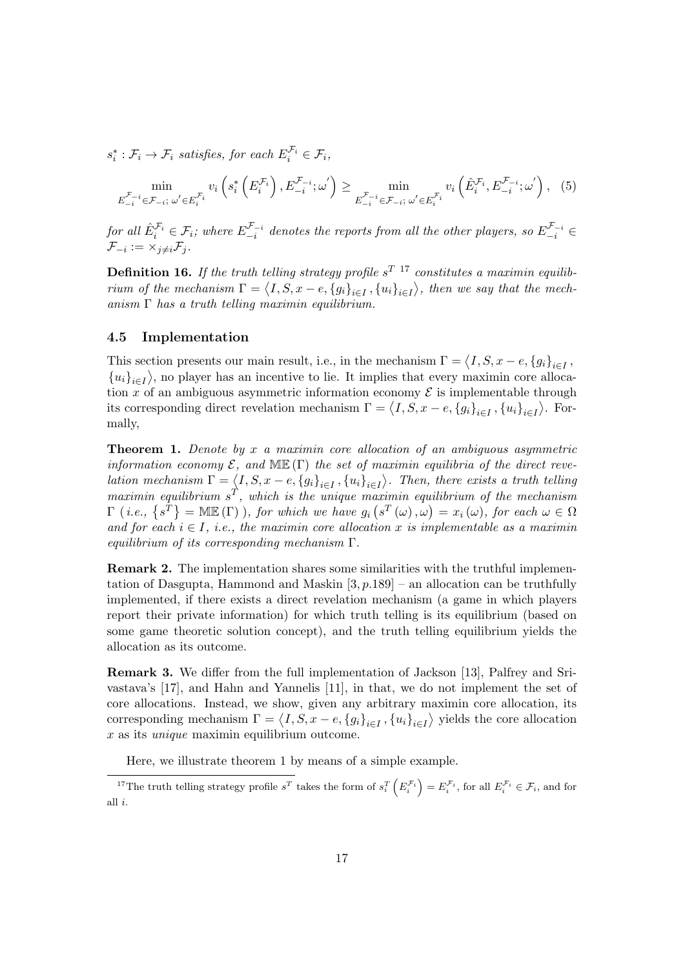$s_i^*: \mathcal{F}_i \to \mathcal{F}_i$  satisfies, for each  $E_i^{\mathcal{F}_i} \in \mathcal{F}_i$ ,

$$
\min_{E_{-i}^{\mathcal{F}_{-i}} \in \mathcal{F}_{-i}; \omega' \in E_i^{\mathcal{F}_i}} v_i \left( s_i^* \left( E_i^{\mathcal{F}_i} \right), E_{-i}^{\mathcal{F}_{-i}}; \omega' \right) \ge \min_{E_{-i}^{\mathcal{F}_{-i}} \in \mathcal{F}_{-i}; \omega' \in E_i^{\mathcal{F}_i}} v_i \left( \hat{E}_i^{\mathcal{F}_i}, E_{-i}^{\mathcal{F}_{-i}}; \omega' \right), \tag{5}
$$

for all  $\hat{E}_i^{\mathcal{F}_i} \in \mathcal{F}_i$ ; where  $E_{-i}^{\mathcal{F}_{-i}}$  $\cup_{-i}^{\mathcal{F}_{-i}}$  denotes the reports from all the other players, so  $E_{-i}^{\mathcal{F}_{-i}} \in$  $\mathcal{F}_{-i} := \times_{j \neq i} \mathcal{F}_j$  .

**Definition 16.** If the truth telling strategy profile s<sup>T 17</sup> constitutes a maximin equilibrium of the mechanism  $\Gamma = \langle I, S, x - e, \{g_i\}_{i \in I}, \{u_i\}_{i \in I} \rangle$ , then we say that the mechanism  $\Gamma$  has a truth telling maximin equilibrium.

#### 4.5 Implementation

This section presents our main result, i.e., in the mechanism  $\Gamma = \langle I, S, x - e, \{g_i\}_{i \in I}, \rangle$  ${u_i}_{i\in I}$ , no player has an incentive to lie. It implies that every maximin core allocation x of an ambiguous asymmetric information economy  $\mathcal E$  is implementable through its corresponding direct revelation mechanism  $\Gamma = \langle I, S, x - e, \{g_i\}_{i \in I}, \{u_i\}_{i \in I} \rangle$ . Formally,

**Theorem 1.** Denote by  $x$  a maximin core allocation of an ambiguous asymmetric information economy  $\mathcal{E}$ , and  $\mathbb{ME}(\Gamma)$  the set of maximin equilibria of the direct revelation mechanism  $\Gamma = \langle I, S, x - e, \{g_i\}_{i \in I}, \{u_i\}_{i \in I} \rangle$ . Then, there exists a truth telling maximin equilibrium  $s^T$ , which is the unique maximin equilibrium of the mechanism  $\Gamma$  (*i.e.*,  $\{s^T\} = \text{MIE}(\Gamma)$ ), for which we have  $g_i(s^T(\omega), \omega) = x_i(\omega)$ , for each  $\omega \in \Omega$ and for each  $i \in I$ , i.e., the maximin core allocation x is implementable as a maximin equilibrium of its corresponding mechanism Γ.

Remark 2. The implementation shares some similarities with the truthful implementation of Dasgupta, Hammond and Maskin  $[3, p.189]$  – an allocation can be truthfully implemented, if there exists a direct revelation mechanism (a game in which players report their private information) for which truth telling is its equilibrium (based on some game theoretic solution concept), and the truth telling equilibrium yields the allocation as its outcome.

Remark 3. We differ from the full implementation of Jackson [13], Palfrey and Srivastava's [17], and Hahn and Yannelis [11], in that, we do not implement the set of core allocations. Instead, we show, given any arbitrary maximin core allocation, its corresponding mechanism  $\Gamma = \langle I, S, x - e, \{g_i\}_{i \in I}, \{u_i\}_{i \in I} \rangle$  yields the core allocation  $x$  as its *unique* maximin equilibrium outcome.

Here, we illustrate theorem 1 by means of a simple example.

<sup>&</sup>lt;sup>17</sup>The truth telling strategy profile  $s^T$  takes the form of  $s_i^T\left(E_i^{\mathcal{F}_i}\right) = E_i^{\mathcal{F}_i}$ , for all  $E_i^{\mathcal{F}_i} \in \mathcal{F}_i$ , and for all i.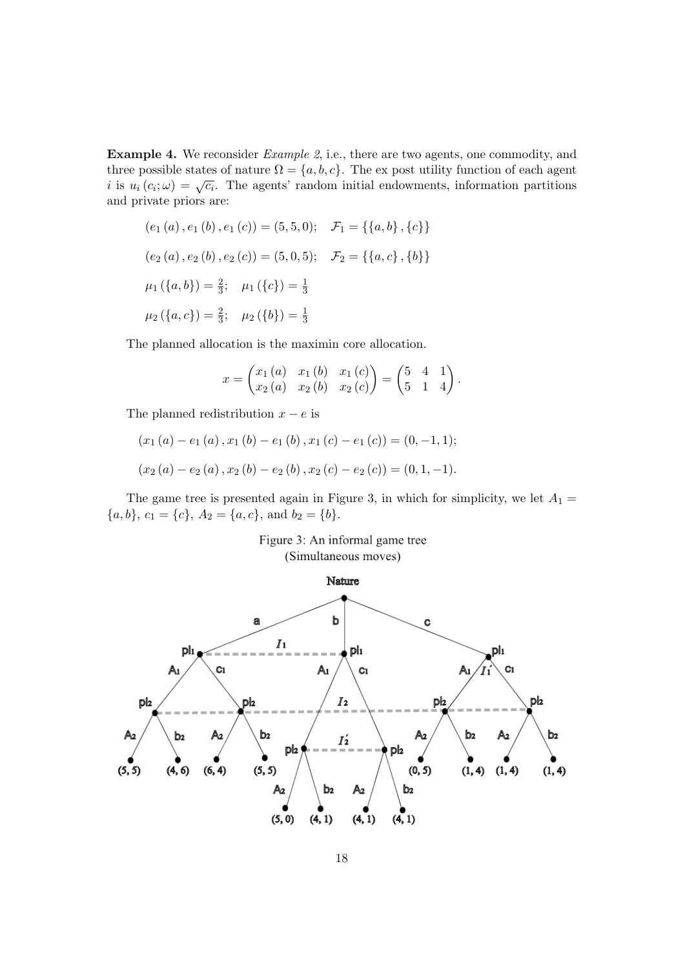Example 4. We reconsider Example 2, i.e., there are two agents, one commodity, and three possible states of nature  $\Omega = \{a, b, c\}$ . The ex post utility function of each agent ince possible states of hattite  $\Omega = \{u, v, e\}$ . The exposit deliny function of each agent is  $i$  is  $u_i(c_i; \omega) = \sqrt{c_i}$ . The agents' random initial endowments, information partitions and private priors are:

$$
(e_1(a), e_1(b), e_1(c)) = (5, 5, 0); \quad \mathcal{F}_1 = \{\{a, b\}, \{c\}\}\
$$

$$
(e_2(a), e_2(b), e_2(c)) = (5, 0, 5); \quad \mathcal{F}_2 = \{\{a, c\}, \{b\}\}\
$$

$$
\mu_1(\{a, b\}) = \frac{2}{3}; \quad \mu_1(\{c\}) = \frac{1}{3}
$$

$$
\mu_2(\{a, c\}) = \frac{2}{3}; \quad \mu_2(\{b\}) = \frac{1}{3}
$$

The planned allocation is the maximin core allocation.

$$
x = \begin{pmatrix} x_1(a) & x_1(b) & x_1(c) \\ x_2(a) & x_2(b) & x_2(c) \end{pmatrix} = \begin{pmatrix} 5 & 4 & 1 \\ 5 & 1 & 4 \end{pmatrix}.
$$

The planned redistribution  $x - e$  is

$$
(x_1(a) - e_1(a), x_1(b) - e_1(b), x_1(c) - e_1(c)) = (0, -1, 1);
$$
  

$$
(x_2(a) - e_2(a), x_2(b) - e_2(b), x_2(c) - e_2(c)) = (0, 1, -1).
$$

The game tree is presented again in Figure 3, in which for simplicity, we let  $A_1 =$  ${a, b}, c_1 = {c}, A_2 = {a, c}, \text{ and } b_2 = {b}.$ 

## Figure 3: An informal game tree (Simultaneous moves)

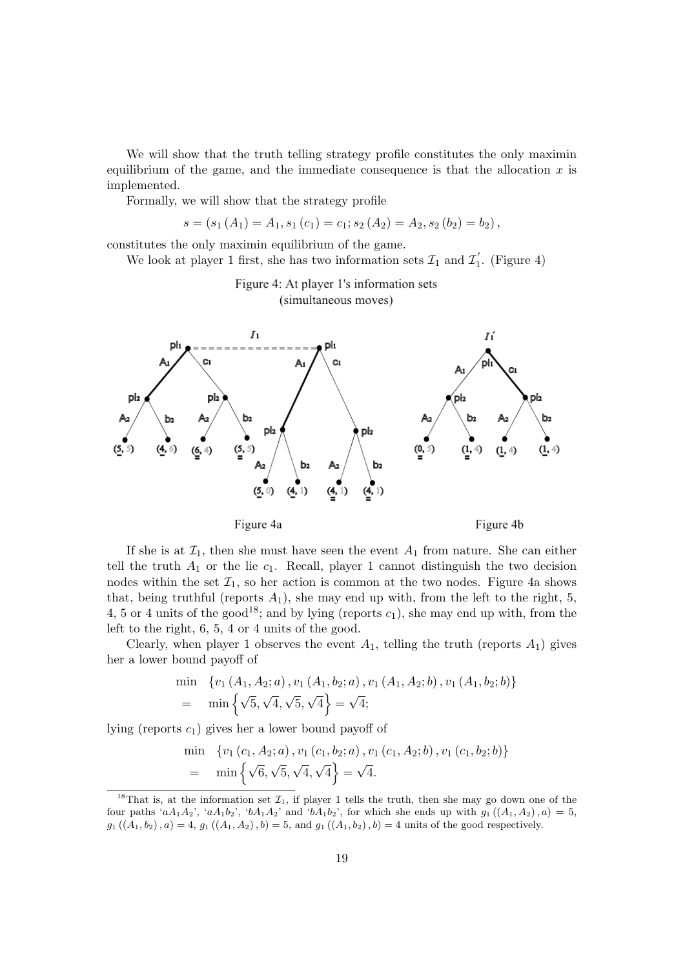We will show that the truth telling strategy profile constitutes the only maximin equilibrium of the game, and the immediate consequence is that the allocation  $x$  is implemented.

Formally, we will show that the strategy profile

$$
s = (s_1(A_1) = A_1, s_1(c_1) = c_1; s_2(A_2) = A_2, s_2(b_2) = b_2),
$$

constitutes the only maximin equilibrium of the game.

We look at player 1 first, she has two information sets  $\mathcal{I}_1$  and  $\mathcal{I}_1'$  $I_1'$ . (Figure 4)

> Figure 4: At player 1's information sets (simultaneous moves)



If she is at  $\mathcal{I}_1$ , then she must have seen the event  $A_1$  from nature. She can either tell the truth  $A_1$  or the lie  $c_1$ . Recall, player 1 cannot distinguish the two decision nodes within the set  $\mathcal{I}_1$ , so her action is common at the two nodes. Figure 4a shows that, being truthful (reports  $A_1$ ), she may end up with, from the left to the right, 5, 4, 5 or 4 units of the good<sup>18</sup>; and by lying (reports  $c_1$ ), she may end up with, from the left to the right, 6, 5, 4 or 4 units of the good.

Clearly, when player 1 observes the event  $A_1$ , telling the truth (reports  $A_1$ ) gives her a lower bound payoff of

$$
\begin{aligned}\n\min \quad & \{v_1\left(A_1, A_2; a\right), v_1\left(A_1, b_2; a\right), v_1\left(A_1, A_2; b\right), v_1\left(A_1, b_2; b\right)\} \\
&= \min \left\{\sqrt{5}, \sqrt{4}, \sqrt{5}, \sqrt{4}\right\} = \sqrt{4};\n\end{aligned}
$$

lying (reports  $c_1$ ) gives her a lower bound payoff of

$$
\begin{aligned}\n\min \quad & \{v_1(c_1, A_2; a), v_1(c_1, b_2; a), v_1(c_1, A_2; b), v_1(c_1, b_2; b)\} \\
&= \min \left\{\sqrt{6}, \sqrt{5}, \sqrt{4}, \sqrt{4}\right\} = \sqrt{4}.\n\end{aligned}
$$

<sup>&</sup>lt;sup>18</sup>That is, at the information set  $\mathcal{I}_1$ , if player 1 tells the truth, then she may go down one of the four paths 'a $A_1A_2$ ', 'a $A_1b_2$ ', 'b $A_1A_2$ ' and 'b $A_1b_2$ ', for which she ends up with  $g_1((A_1, A_2), a) = 5$ ,  $g_1((A_1, b_2), a) = 4$ ,  $g_1((A_1, A_2), b) = 5$ , and  $g_1((A_1, b_2), b) = 4$  units of the good respectively.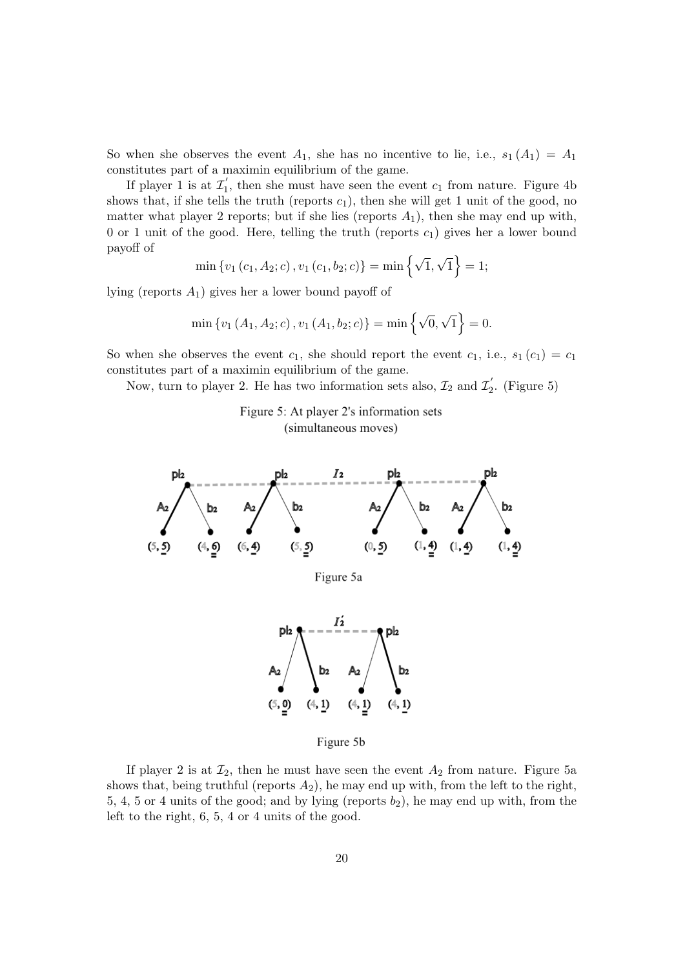So when she observes the event  $A_1$ , she has no incentive to lie, i.e.,  $s_1(A_1) = A_1$ constitutes part of a maximin equilibrium of the game.

If player 1 is at  $\mathcal{I}'_1$  $\overline{1}_1$ , then she must have seen the event  $c_1$  from nature. Figure 4b shows that, if she tells the truth (reports  $c_1$ ), then she will get 1 unit of the good, no matter what player 2 reports; but if she lies (reports  $A_1$ ), then she may end up with, 0 or 1 unit of the good. Here, telling the truth (reports  $c_1$ ) gives her a lower bound payoff of

$$
\min \{v_1(c_1, A_2; c), v_1(c_1, b_2; c)\} = \min \{ \sqrt{1}, \sqrt{1} \} = 1;
$$

lying (reports  $A_1$ ) gives her a lower bound payoff of

$$
\min \{v_1(A_1, A_2; c), v_1(A_1, b_2; c)\} = \min \{ \sqrt{0}, \sqrt{1} \} = 0.
$$

So when she observes the event  $c_1$ , she should report the event  $c_1$ , i.e.,  $s_1(c_1) = c_1$ constitutes part of a maximin equilibrium of the game.

Now, turn to player 2. He has two information sets also,  $\mathcal{I}_2$  and  $\mathcal{I}_2'$  $I_2'$ . (Figure 5)

> Figure 5: At player 2's information sets (simultaneous moves)



Figure 5b

If player 2 is at  $\mathcal{I}_2$ , then he must have seen the event  $A_2$  from nature. Figure 5a shows that, being truthful (reports  $A_2$ ), he may end up with, from the left to the right, 5, 4, 5 or 4 units of the good; and by lying (reports  $b_2$ ), he may end up with, from the left to the right, 6, 5, 4 or 4 units of the good.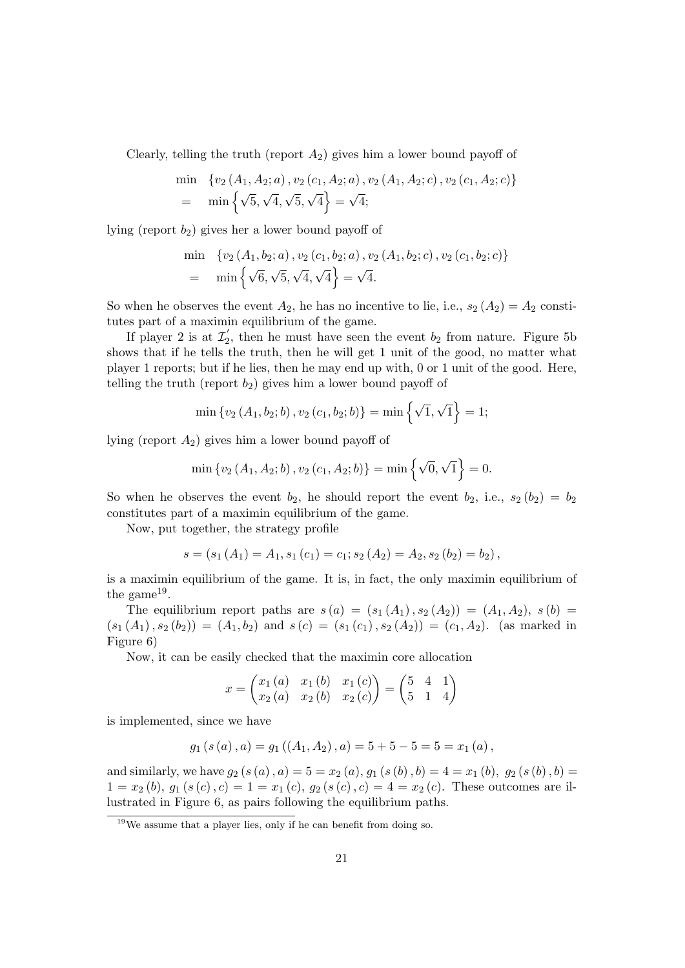Clearly, telling the truth (report  $A_2$ ) gives him a lower bound payoff of

$$
\begin{aligned}\n\min \quad & \{ v_2 \left( A_1, A_2; a \right), v_2 \left( c_1, A_2; a \right), v_2 \left( A_1, A_2; c \right), v_2 \left( c_1, A_2; c \right) \} \\
&= \min \left\{ \sqrt{5}, \sqrt{4}, \sqrt{5}, \sqrt{4} \right\} = \sqrt{4};\n\end{aligned}
$$

lying (report  $b_2$ ) gives her a lower bound payoff of

$$
\begin{aligned}\n\min \quad & \{v_2\left(A_1, b_2; a\right), v_2\left(c_1, b_2; a\right), v_2\left(A_1, b_2; c\right), v_2\left(c_1, b_2; c\right)\} \\
&= \min \left\{\sqrt{6}, \sqrt{5}, \sqrt{4}, \sqrt{4}\right\} = \sqrt{4}.\n\end{aligned}
$$

So when he observes the event  $A_2$ , he has no incentive to lie, i.e.,  $s_2(A_2) = A_2$  constitutes part of a maximin equilibrium of the game.

If player 2 is at  $\mathcal{I}'_2$  $\frac{1}{2}$ , then he must have seen the event  $b_2$  from nature. Figure 5b shows that if he tells the truth, then he will get 1 unit of the good, no matter what player 1 reports; but if he lies, then he may end up with, 0 or 1 unit of the good. Here, telling the truth (report  $b_2$ ) gives him a lower bound payoff of

$$
\min \{v_2(A_1, b_2; b), v_2(c_1, b_2; b)\} = \min \{ \sqrt{1}, \sqrt{1} \} = 1;
$$

lying (report  $A_2$ ) gives him a lower bound payoff of

$$
\min \{v_2\left(A_1, A_2; b\right), v_2\left(c_1, A_2; b\right)\} = \min \left\{\sqrt{0}, \sqrt{1}\right\} = 0.
$$

So when he observes the event  $b_2$ , he should report the event  $b_2$ , i.e.,  $s_2(b_2) = b_2$ constitutes part of a maximin equilibrium of the game.

Now, put together, the strategy profile

$$
s = (s_1(A_1) = A_1, s_1(c_1) = c_1; s_2(A_2) = A_2, s_2(b_2) = b_2),
$$

is a maximin equilibrium of the game. It is, in fact, the only maximin equilibrium of the game<sup>19</sup>.

The equilibrium report paths are  $s(a) = (s_1(A_1), s_2(A_2)) = (A_1, A_2), s(b) =$  $(s_1(A_1), s_2(b_2)) = (A_1, b_2)$  and  $s(c) = (s_1(c_1), s_2(A_2)) = (c_1, A_2)$ . (as marked in Figure 6)

Now, it can be easily checked that the maximin core allocation

$$
x = \begin{pmatrix} x_1(a) & x_1(b) & x_1(c) \\ x_2(a) & x_2(b) & x_2(c) \end{pmatrix} = \begin{pmatrix} 5 & 4 & 1 \\ 5 & 1 & 4 \end{pmatrix}
$$

is implemented, since we have

$$
g_1(s(a), a) = g_1((A_1, A_2), a) = 5 + 5 - 5 = 5 = x_1(a),
$$

and similarly, we have  $g_2(s(a), a) = 5 = x_2(a), g_1(s(b), b) = 4 = x_1(b), g_2(s(b), b) =$  $1 = x_2 (b), g_1 (s (c), c) = 1 = x_1 (c), g_2 (s (c), c) = 4 = x_2 (c).$  These outcomes are illustrated in Figure 6, as pairs following the equilibrium paths.

 $19$ We assume that a player lies, only if he can benefit from doing so.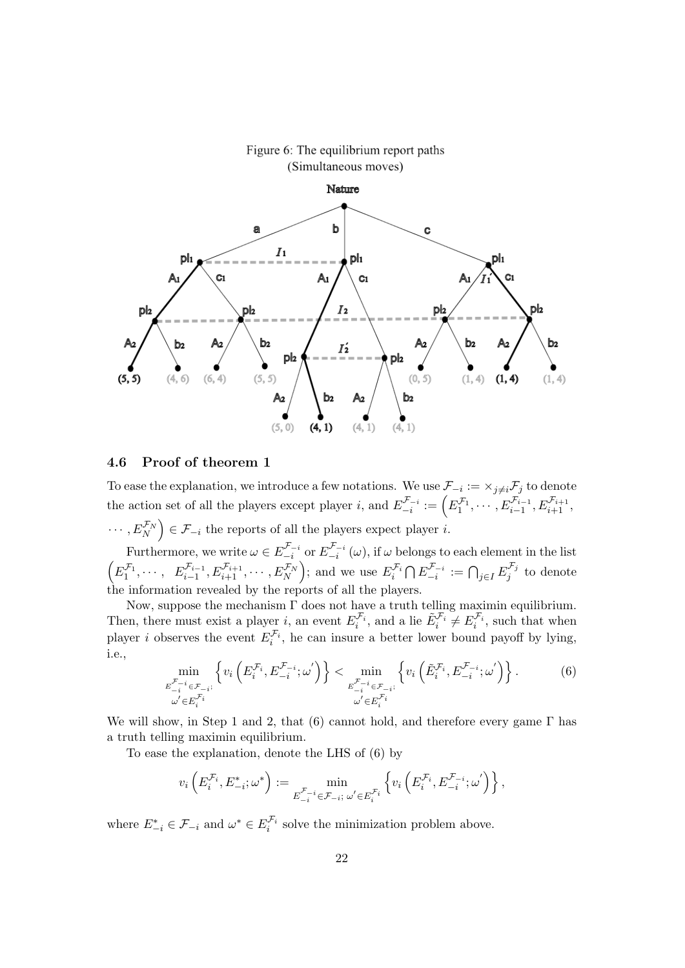

# Figure 6: The equilibrium report paths

#### 4.6 Proof of theorem 1

To ease the explanation, we introduce a few notations. We use  $\mathcal{F}_{-i} := \times_{j \neq i} \mathcal{F}_j$  to denote the action set of all the players except player *i*, and  $E_{-i}^{\mathcal{F}_{-i}}$  $\mathcal{F}_{-i}^{\mathcal{F}_{-i}} := \left( E_1^{\mathcal{F}_1}, \cdots, E_{i-1}^{\mathcal{F}_{i-1}}, E_{i+1}^{\mathcal{F}_{i+1}}, \right)$  $\cdots, E_N^{\mathcal{F}_N}$   $\in \mathcal{F}_{-i}$  the reports of all the players expect player *i*.

Furthermore, we write  $\omega \in E_{-i}^{\mathcal{F}_{-i}}$  $\frac{\mathcal{F}_{-i}}{-i}$  or  $E_{-i}^{\mathcal{F}_{-i}}$  $\int_{-i}^{\infty}$  ( $\omega$ ), if  $\omega$  belongs to each element in the list  $(E_1^{\mathcal{F}_1}, \cdots, E_{i-1}^{\mathcal{F}_{i-1}}, E_{i+1}^{\mathcal{F}_{i+1}}, \cdots, E_N^{\mathcal{F}_N})$ ; and we use  $E_i^{\mathcal{F}_i} \cap E_{-i}^{\mathcal{F}_{-i}}$  $\bigcap_{j=1}^{\mathcal{F}_{-i}}:=\bigcap_{j\in I}E_j^{\mathcal{F}_j}$  $j^{j}$  to denote the information revealed by the reports of all the players.

Now, suppose the mechanism  $\Gamma$  does not have a truth telling maximin equilibrium. Then, there must exist a player *i*, an event  $E_i^{\mathcal{F}_i}$ , and a lie  $\tilde{E}_i^{\mathcal{F}_i} \neq E_i^{\mathcal{F}_i}$ , such that when player *i* observes the event  $E_i^{\mathcal{F}_i}$ , he can insure a better lower bound payoff by lying, i.e.,

$$
\min_{\substack{\mathcal{F}_{-i}^{\mathcal{F}_{-i}} \in \mathcal{F}_{-i}:\\ \omega' \in E_i^{\mathcal{F}_i}}} \left\{ v_i \left( E_i^{\mathcal{F}_i}, E_{-i}^{\mathcal{F}_{-i}}; \omega' \right) \right\} < \min_{\substack{\mathcal{F}_{-i}^{\mathcal{F}_{-i}} \in \mathcal{F}_{-i}:\\ \omega' \in E_i^{\mathcal{F}_i}}} \left\{ v_i \left( \tilde{E}_i^{\mathcal{F}_i}, E_{-i}^{\mathcal{F}_{-i}}; \omega' \right) \right\}. \tag{6}
$$

We will show, in Step 1 and 2, that (6) cannot hold, and therefore every game  $\Gamma$  has a truth telling maximin equilibrium.

To ease the explanation, denote the LHS of (6) by

$$
v_i\left(E_i^{\mathcal{F}_i},E_{-i}^*;\omega^*\right):=\min_{E_{-i}^{\mathcal{F}_{-i}}\in\mathcal{F}_{-i};\;\omega'\in E_i^{\mathcal{F}_i}}\left\{v_i\left(E_i^{\mathcal{F}_i},E_{-i}^{\mathcal{F}_{-i}};\omega'\right)\right\},\;
$$

where  $E_{-i}^* \in \mathcal{F}_{-i}$  and  $\omega^* \in E_i^{\mathcal{F}_i}$  solve the minimization problem above.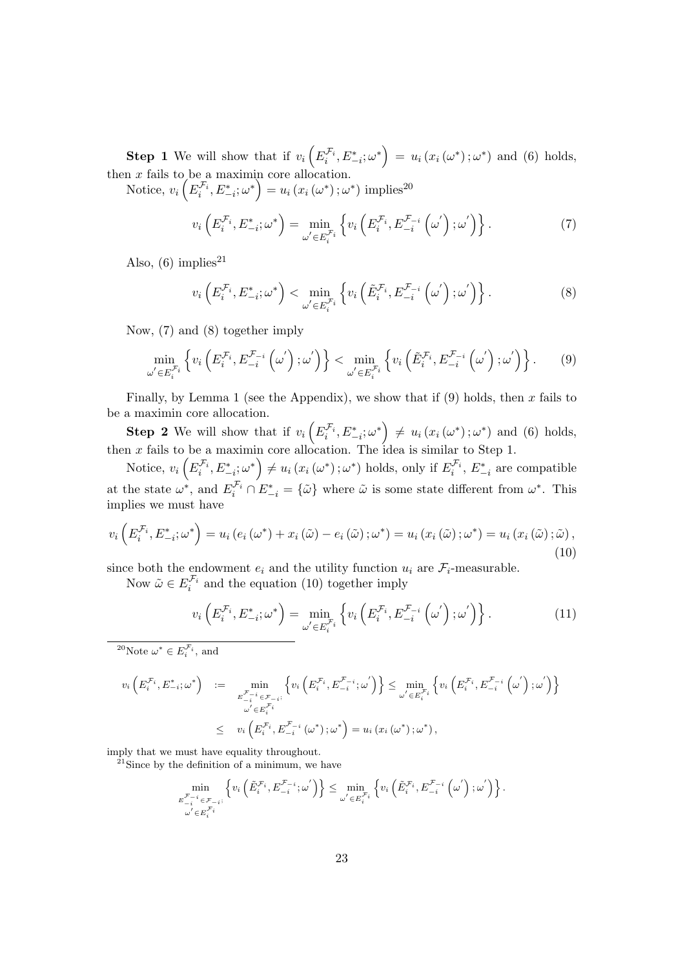**Step 1** We will show that if  $v_i\left(E_i^{\mathcal{F}_i}, E_{-i}^*; \omega^*\right) = u_i\left(x_i\left(\omega^*\right); \omega^*\right)$  and (6) holds, then  $x$  fails to be a maximin core allocation.

Notice,  $v_i\left(E_i^{\mathcal{F}_i}, E_{-i}^*; \omega^*\right) = u_i\left(x_i\left(\omega^*\right); \omega^*\right)$  implies<sup>20</sup>

$$
v_i\left(E_i^{\mathcal{F}_i}, E_{-i}^*\,;\omega^*\right) = \min_{\omega' \in E_i^{\mathcal{F}_i}} \left\{ v_i\left(E_i^{\mathcal{F}_i}, E_{-i}^{\mathcal{F}_{-i}}\left(\omega'\right); \omega'\right) \right\}.
$$
 (7)

Also,  $(6)$  implies<sup>21</sup>

$$
v_i\left(E_i^{\mathcal{F}_i}, E_{-i}^*; \omega^*\right) < \min_{\omega' \in E_i^{\mathcal{F}_i}} \left\{ v_i\left(\tilde{E}_i^{\mathcal{F}_i}, E_{-i}^{\mathcal{F}_{-i}}\left(\omega'\right); \omega'\right) \right\}.
$$
\n
$$
(8)
$$

Now, (7) and (8) together imply

$$
\min_{\omega' \in E_i^{\mathcal{F}_i}} \left\{ v_i \left( E_i^{\mathcal{F}_i}, E_{-i}^{\mathcal{F}_{-i}} \left( \omega' \right); \omega' \right) \right\} < \min_{\omega' \in E_i^{\mathcal{F}_i}} \left\{ v_i \left( \tilde{E}_i^{\mathcal{F}_i}, E_{-i}^{\mathcal{F}_{-i}} \left( \omega' \right); \omega' \right) \right\}. \tag{9}
$$

Finally, by Lemma 1 (see the Appendix), we show that if (9) holds, then x fails to be a maximin core allocation.

**Step 2** We will show that if  $v_i\left(E_i^{\mathcal{F}_i}, E_{-i}^*; \omega^*\right) \neq u_i\left(x_i\left(\omega^*\right); \omega^*\right)$  and (6) holds, then x fails to be a maximin core allocation. The idea is similar to Step 1.

Notice,  $v_i\left(E_i^{\mathcal{F}_i}, E_{-i}^*, \omega^*\right) \neq u_i\left(x_i\left(\omega^*\right); \omega^*\right)$  holds, only if  $E_i^{\mathcal{F}_i}, E_{-i}^*$  are compatible at the state  $\omega^*$ , and  $E_i^{\mathcal{F}_i} \cap E_{-i}^* = {\tilde{\omega}}$  where  $\tilde{\omega}$  is some state different from  $\omega^*$ . This implies we must have

$$
v_i\left(E_i^{\mathcal{F}_i}, E_{-i}^*; \omega^*\right) = u_i\left(e_i\left(\omega^*\right) + x_i\left(\tilde{\omega}\right) - e_i\left(\tilde{\omega}\right); \omega^*\right) = u_i\left(x_i\left(\tilde{\omega}\right); \omega^*\right) = u_i\left(x_i\left(\tilde{\omega}\right); \tilde{\omega}\right),\tag{10}
$$

since both the endowment  $e_i$  and the utility function  $u_i$  are  $\mathcal{F}_i$ -measurable.

Now  $\tilde{\omega} \in E_i^{\mathcal{F}_i}$  and the equation (10) together imply

$$
v_i\left(E_i^{\mathcal{F}_i}, E_{-i}^*; \omega^*\right) = \min_{\omega' \in E_i^{\mathcal{F}_i}} \left\{ v_i\left(E_i^{\mathcal{F}_i}, E_{-i}^{\mathcal{F}_{-i}}\left(\omega'\right); \omega'\right) \right\}.
$$
 (11)

<sup>20</sup>Note  $\omega^* \in E_i^{\mathcal{F}_i}$ , and

$$
v_{i}\left(E_{i}^{\mathcal{F}_{i}},E_{-i}^{*};\omega^{*}\right) := \min_{\substack{E_{-i}^{\mathcal{F}_{-i}} \in \mathcal{F}_{-i}: \\ \omega' \in E_{i}^{\mathcal{F}_{i}}}} \left\{ v_{i}\left(E_{i}^{\mathcal{F}_{i}},E_{-i}^{\mathcal{F}_{-i}};\omega'\right) \right\} \leq \min_{\substack{\omega' \in E_{i}^{\mathcal{F}_{i}} \\ \omega' \in E_{i}^{\mathcal{F}_{i}}}} \left\{ v_{i}\left(E_{i}^{\mathcal{F}_{i}},E_{-i}^{\mathcal{F}_{-i}}\left(\omega'\right);\omega'\right) \right\}
$$

$$
\leq v_{i}\left(E_{i}^{\mathcal{F}_{i}},E_{-i}^{\mathcal{F}_{-i}}\left(\omega^{*}\right);\omega^{*}\right) = u_{i}\left(x_{i}\left(\omega^{*}\right);\omega^{*}\right),
$$

imply that we must have equality throughout.

<sup>21</sup>Since by the definition of a minimum, we have

$$
\min_{\substack{\mathbf{E}_{-i}^{\mathcal{F}_{-i}} \in \mathcal{F}_{-i} \\ \omega' \in E_i^{\mathcal{F}_i}}} \left\{ v_i \left( \tilde{E}_i^{\mathcal{F}_i}, E_{-i}^{\mathcal{F}_{-i}}; \omega' \right) \right\} \le \min_{\omega' \in E_i^{\mathcal{F}_i}} \left\{ v_i \left( \tilde{E}_i^{\mathcal{F}_i}, E_{-i}^{\mathcal{F}_{-i}} \left( \omega' \right); \omega' \right) \right\}.
$$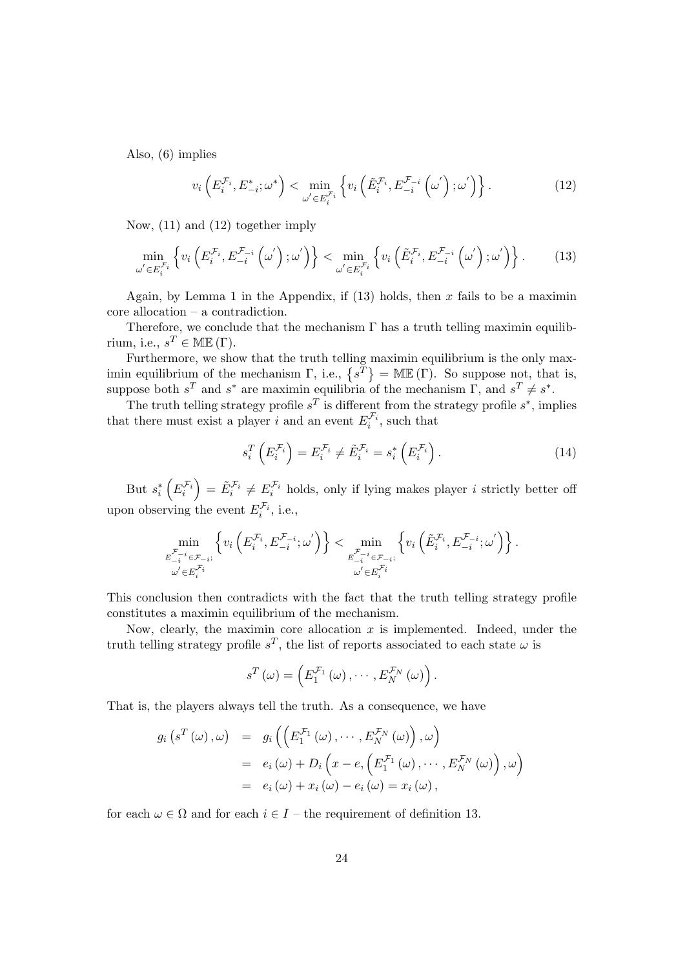Also, (6) implies

$$
v_i\left(E_i^{\mathcal{F}_i}, E_{-i}^*\,;\omega^*\right) < \min_{\omega' \in E_i^{\mathcal{F}_i}} \left\{ v_i\left(\tilde{E}_i^{\mathcal{F}_i}, E_{-i}^{\mathcal{F}_{-i}}\left(\omega'\right); \omega'\right) \right\}.
$$
\n(12)

Now, (11) and (12) together imply

$$
\min_{\omega' \in E_i^{\mathcal{F}_i}} \left\{ v_i \left( E_i^{\mathcal{F}_i}, E_{-i}^{\mathcal{F}_{-i}} \left( \omega' \right); \omega' \right) \right\} < \min_{\omega' \in E_i^{\mathcal{F}_i}} \left\{ v_i \left( \tilde{E}_i^{\mathcal{F}_i}, E_{-i}^{\mathcal{F}_{-i}} \left( \omega' \right); \omega' \right) \right\}. \tag{13}
$$

Again, by Lemma 1 in the Appendix, if  $(13)$  holds, then x fails to be a maximin core allocation – a contradiction.

Therefore, we conclude that the mechanism  $\Gamma$  has a truth telling maximin equilibrium, i.e.,  $s^T \in \mathbb{ME}(\Gamma)$ .

Furthermore, we show that the truth telling maximin equilibrium is the only maximin equilibrium of the mechanism  $\Gamma$ , i.e.,  $\{s^T\} = \text{MIE}(\Gamma)$ . So suppose not, that is, suppose both  $s^T$  and  $s^*$  are maximin equilibria of the mechanism  $\Gamma$ , and  $s^T \neq s^*$ .

The truth telling strategy profile  $s^T$  is different from the strategy profile  $s^*$ , implies that there must exist a player *i* and an event  $E_i^{\mathcal{F}_i}$ , such that

$$
s_i^T \left( E_i^{\mathcal{F}_i} \right) = E_i^{\mathcal{F}_i} \neq \tilde{E}_i^{\mathcal{F}_i} = s_i^* \left( E_i^{\mathcal{F}_i} \right). \tag{14}
$$

But  $s_i^*\left(E_i^{\mathcal{F}_i}\right) = \tilde{E}_i^{\mathcal{F}_i} \neq E_i^{\mathcal{F}_i}$  holds, only if lying makes player *i* strictly better off upon observing the event  $E_i^{\mathcal{F}_i}$ , i.e.,

$$
\min_{\substack{\mathcal{F}_{-i}^{\mathcal{F}_{-i}} \in \mathcal{F}_{-i}: \\ \omega' \in E_i^{\mathcal{F}_i}}} \left\{ v_i \left( E_i^{\mathcal{F}_i}, E_{-i}^{\mathcal{F}_{-i}}; \omega' \right) \right\} < \min_{\substack{\mathcal{F}_{-i}^{\mathcal{F}_{-i}} \in \mathcal{F}_{-i}: \\ \omega' \in E_i^{\mathcal{F}_i}}} \left\{ v_i \left( \tilde{E}_i^{\mathcal{F}_i}, E_{-i}^{\mathcal{F}_{-i}}; \omega' \right) \right\}.
$$

This conclusion then contradicts with the fact that the truth telling strategy profile constitutes a maximin equilibrium of the mechanism.

Now, clearly, the maximin core allocation  $x$  is implemented. Indeed, under the truth telling strategy profile  $s^T$ , the list of reports associated to each state  $\omega$  is

$$
s^{T}(\omega) = \left( E_1^{\mathcal{F}_1}(\omega), \cdots, E_N^{\mathcal{F}_N}(\omega) \right).
$$

That is, the players always tell the truth. As a consequence, we have

$$
g_i\left(s^T\left(\omega\right), \omega\right) = g_i\left(\left(E_1^{\mathcal{F}_1}\left(\omega\right), \cdots, E_N^{\mathcal{F}_N}\left(\omega\right)\right), \omega\right)
$$
  

$$
= e_i\left(\omega\right) + D_i\left(x - e, \left(E_1^{\mathcal{F}_1}\left(\omega\right), \cdots, E_N^{\mathcal{F}_N}\left(\omega\right)\right), \omega\right)
$$
  

$$
= e_i\left(\omega\right) + x_i\left(\omega\right) - e_i\left(\omega\right) = x_i\left(\omega\right),
$$

for each  $\omega \in \Omega$  and for each  $i \in I$  – the requirement of definition 13.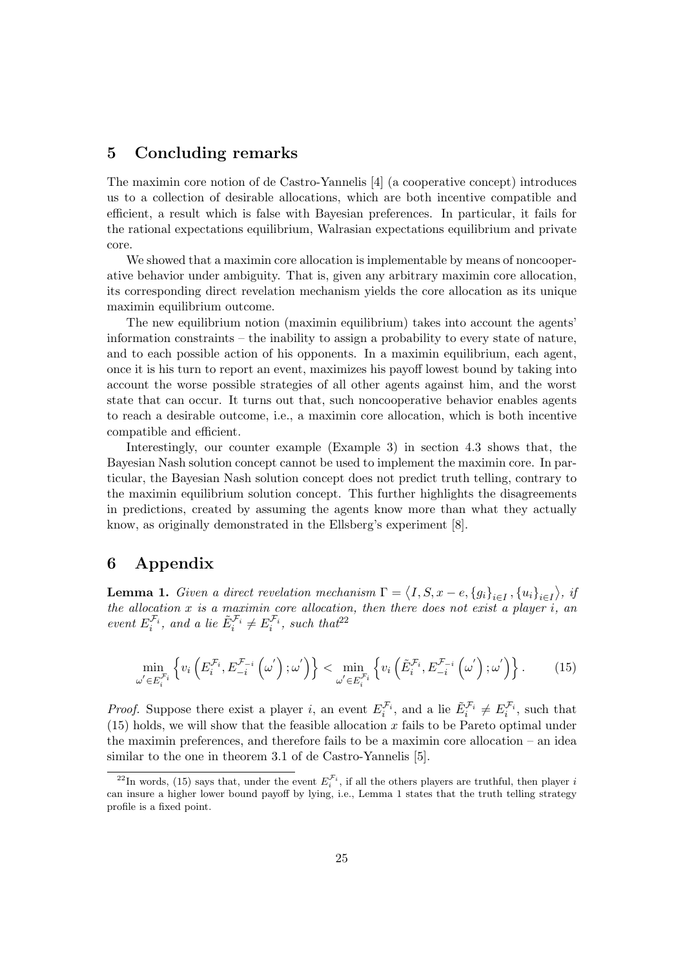# 5 Concluding remarks

The maximin core notion of de Castro-Yannelis [4] (a cooperative concept) introduces us to a collection of desirable allocations, which are both incentive compatible and efficient, a result which is false with Bayesian preferences. In particular, it fails for the rational expectations equilibrium, Walrasian expectations equilibrium and private core.

We showed that a maximin core allocation is implementable by means of noncooperative behavior under ambiguity. That is, given any arbitrary maximin core allocation, its corresponding direct revelation mechanism yields the core allocation as its unique maximin equilibrium outcome.

The new equilibrium notion (maximin equilibrium) takes into account the agents' information constraints – the inability to assign a probability to every state of nature, and to each possible action of his opponents. In a maximin equilibrium, each agent, once it is his turn to report an event, maximizes his payoff lowest bound by taking into account the worse possible strategies of all other agents against him, and the worst state that can occur. It turns out that, such noncooperative behavior enables agents to reach a desirable outcome, i.e., a maximin core allocation, which is both incentive compatible and efficient.

Interestingly, our counter example (Example 3) in section 4.3 shows that, the Bayesian Nash solution concept cannot be used to implement the maximin core. In particular, the Bayesian Nash solution concept does not predict truth telling, contrary to the maximin equilibrium solution concept. This further highlights the disagreements in predictions, created by assuming the agents know more than what they actually know, as originally demonstrated in the Ellsberg's experiment [8].

# 6 Appendix

**Lemma 1.** Given a direct revelation mechanism  $\Gamma = \langle I, S, x - e, \{g_i\}_{i \in I}, \{u_i\}_{i \in I} \rangle$ , if the allocation  $x$  is a maximin core allocation, then there does not exist a player  $i$ , an event  $E_i^{\mathcal{F}_i}$ , and a lie  $\tilde{E}_i^{\mathcal{F}_i} \neq E_i^{\mathcal{F}_i}$ , such that<sup>22</sup>

$$
\min_{\omega' \in E_i^{\mathcal{F}_i}} \left\{ v_i \left( E_i^{\mathcal{F}_i}, E_{-i}^{\mathcal{F}_{-i}} \left( \omega' \right); \omega' \right) \right\} < \min_{\omega' \in E_i^{\mathcal{F}_i}} \left\{ v_i \left( \tilde{E}_i^{\mathcal{F}_i}, E_{-i}^{\mathcal{F}_{-i}} \left( \omega' \right); \omega' \right) \right\}. \tag{15}
$$

*Proof.* Suppose there exist a player *i*, an event  $E_i^{\mathcal{F}_i}$ , and a lie  $\tilde{E}_i^{\mathcal{F}_i} \neq E_i^{\mathcal{F}_i}$ , such that  $(15)$  holds, we will show that the feasible allocation x fails to be Pareto optimal under the maximin preferences, and therefore fails to be a maximin core allocation – an idea similar to the one in theorem 3.1 of de Castro-Yannelis [5].

<sup>&</sup>lt;sup>22</sup>In words, (15) says that, under the event  $E_i^{\mathcal{F}_i}$ , if all the others players are truthful, then player i can insure a higher lower bound payoff by lying, i.e., Lemma 1 states that the truth telling strategy profile is a fixed point.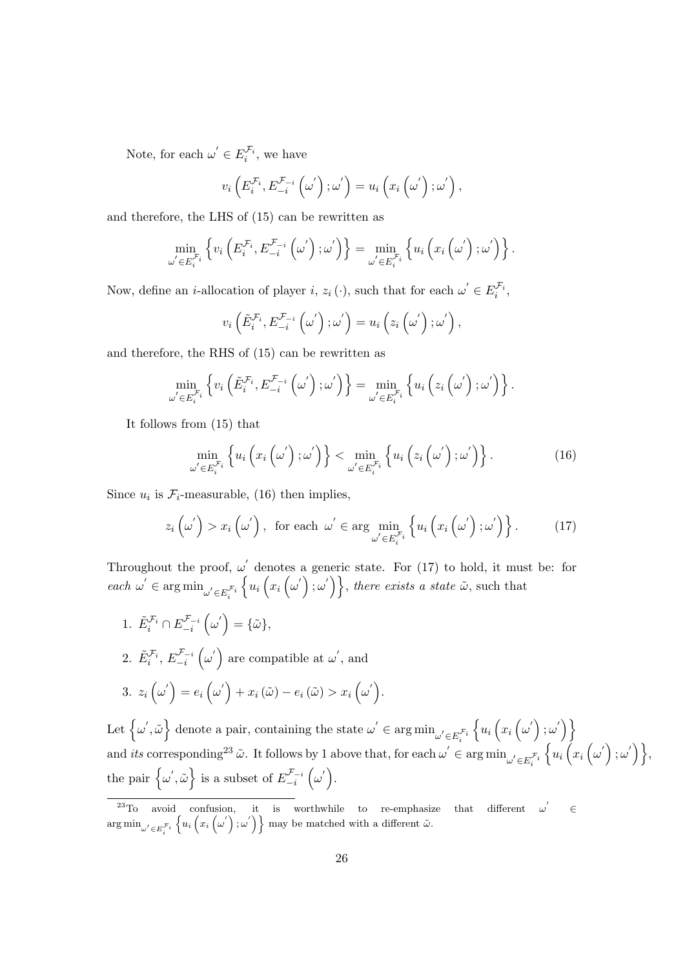Note, for each  $\omega' \in E_i^{\mathcal{F}_i}$ , we have

$$
v_i\left(E_i^{\mathcal{F}_i}, E_{-i}^{\mathcal{F}_{-i}}\left(\omega'\right); \omega'\right) = u_i\left(x_i\left(\omega'\right); \omega'\right),
$$

and therefore, the LHS of (15) can be rewritten as

$$
\min_{\omega' \in E_i^{\mathcal{F}_i}} \left\{ v_i \left( E_i^{\mathcal{F}_i}, E_{-i}^{\mathcal{F}_{-i}} \left( \omega' \right); \omega' \right) \right\} = \min_{\omega' \in E_i^{\mathcal{F}_i}} \left\{ u_i \left( x_i \left( \omega' \right); \omega' \right) \right\}.
$$

Now, define an *i*-allocation of player *i*,  $z_i(\cdot)$ , such that for each  $\omega' \in E_i^{\mathcal{F}_i}$ ,

$$
v_i\left(\tilde{E}_i^{\mathcal{F}_i}, E_{-i}^{\mathcal{F}_{-i}}\left(\omega'\right); \omega'\right) = u_i\left(z_i\left(\omega'\right); \omega'\right),
$$

and therefore, the RHS of (15) can be rewritten as

$$
\min_{\omega' \in E_i^{\mathcal{F}_i}} \left\{ v_i \left( \tilde{E}_i^{\mathcal{F}_i}, E_{-i}^{\mathcal{F}_{-i}} \left( \omega' \right); \omega' \right) \right\} = \min_{\omega' \in E_i^{\mathcal{F}_i}} \left\{ u_i \left( z_i \left( \omega' \right); \omega' \right) \right\}.
$$

It follows from (15) that

$$
\min_{\omega' \in E_i^{\mathcal{F}_i}} \left\{ u_i \left( x_i \left( \omega' \right); \omega' \right) \right\} < \min_{\omega' \in E_i^{\mathcal{F}_i}} \left\{ u_i \left( z_i \left( \omega' \right); \omega' \right) \right\}. \tag{16}
$$

Since  $u_i$  is  $\mathcal{F}_i$ -measurable, (16) then implies,

$$
z_i\left(\omega^{'}\right) > x_i\left(\omega^{'}\right), \text{ for each } \omega^{'} \in \arg\min_{\omega^{'}\in E_i^{\mathcal{F}_i}}\left\{u_i\left(x_i\left(\omega^{'}\right);\omega^{'}\right)\right\}.
$$
 (17)

Throughout the proof,  $\omega'$  denotes a generic state. For (17) to hold, it must be: for each  $\omega' \in \argmin_{\omega' \in E_i^{\mathcal{F}_i}}$  $\{u_i(x_i(\omega');\omega')\}\text{, there exists a state }\tilde{\omega}\text{, such that }$ 

1.  $\tilde{E}_i^{\mathcal{F}_i} \cap E_{-i}^{\mathcal{F}_{-i}}$  $\begin{array}{l} \ _{\text{\small c}}\mathcal{F}_{-i}\left(\omega^{'}\right)=\{\tilde{\omega}\}, \end{array}$ 2.  $\tilde{E}_{i}^{\mathcal{F}_{i}},\,E_{-i}^{\mathcal{F}_{-i}}$  $\int_{-i}^{\mathcal{F}_{-i}} \left( \omega' \right)$  are compatible at  $\omega'$ , and  $3. \ \ z_i\left(\omega^{'}\right)=e_i\left(\omega^{'}\right)+x_i\left(\tilde{\omega}\right)-e_i\left(\tilde{\omega}\right)>x_i\left(\omega^{'}\right).$ 

Let  $\left\{\omega', \tilde{\omega}\right\}$  denote a pair, containing the state  $\omega' \in \arg\min_{\omega' \in E_i^{\mathcal{F}_i}}$  $\{u_i(x_i(\omega');\omega')\}$ and *its* corresponding<sup>23</sup>  $\tilde{\omega}$ . It follows by 1 above that, for each  $\omega' \in \arg \min_{\omega' \in E_i^{\mathcal{F}_i}}$  $\{u_i(x_i(\omega');\omega')\},\,$ the pair  $\{\omega', \tilde{\omega}\}\)$  is a subset of  $E_{-i}^{\mathcal{F}_{-i}}$  $\int_{-i}^{\cal F}_{-i} \, \Big( \omega' \Big) .$ 

<sup>&</sup>lt;sup>23</sup>To avoid confusion, it is worthwhile to re-emphasize that different  $\omega$  $\omega^{'}$ ∈  $\arg\min_{\omega' \in E_i^{\mathcal{F}_i}}$  $\{u_i(x_i(\omega');\omega'\}\}\$  may be matched with a different  $\tilde{\omega}$ .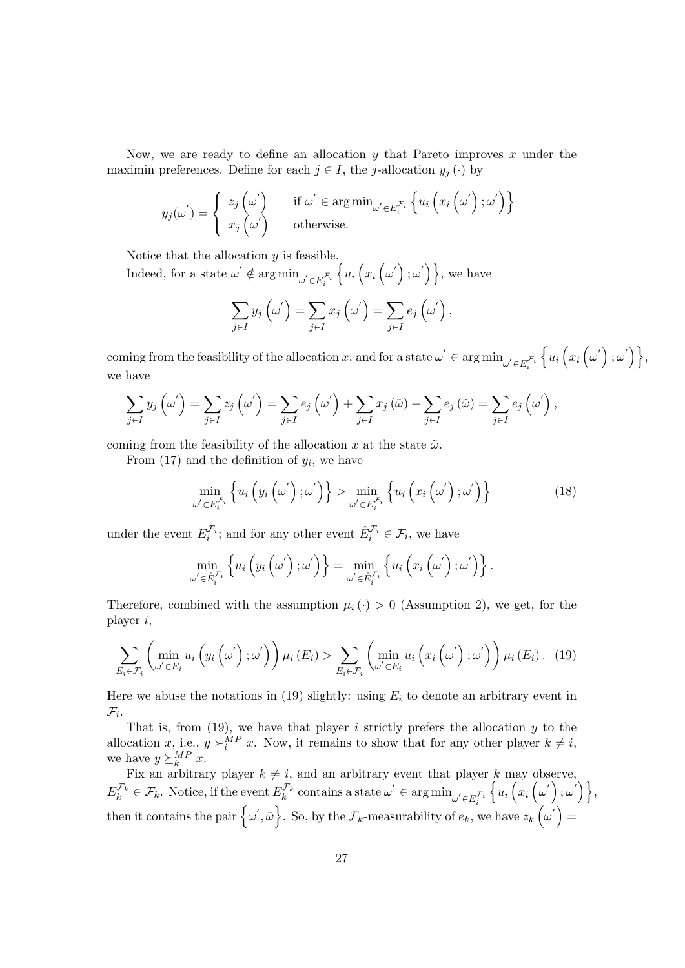Now, we are ready to define an allocation  $y$  that Pareto improves  $x$  under the maximin preferences. Define for each  $j \in I$ , the j-allocation  $y_j(\cdot)$  by

$$
y_j(\omega') = \begin{cases} z_j(\omega') & \text{if } \omega' \in \arg\min_{\omega' \in E_i^{\mathcal{F}_i}} \left\{ u_i(x_i(\omega'); \omega' \right) \right\} \\ x_j(\omega') & \text{otherwise.} \end{cases}
$$

Notice that the allocation  $y$  is feasible.

Indeed, for a state  $\omega' \notin \arg \min_{\omega' \in E_i^{\mathcal{F}_i}}$  $\{u_i(x_i(\omega');\omega')\}\,$ , we have

$$
\sum_{j\in I} y_j\left(\omega'\right) = \sum_{j\in I} x_j\left(\omega'\right) = \sum_{j\in I} e_j\left(\omega'\right),
$$

coming from the feasibility of the allocation x; and for a state  $\omega' \in \argmin_{\omega' \in E_i^{\mathcal{F}_i}}$  $\{u_i(x_i(\omega');\omega')\},\$ we have

$$
\sum_{j\in I} y_j \left( \omega' \right) = \sum_{j\in I} z_j \left( \omega' \right) = \sum_{j\in I} e_j \left( \omega' \right) + \sum_{j\in I} x_j \left( \tilde{\omega} \right) - \sum_{j\in I} e_j \left( \tilde{\omega} \right) = \sum_{j\in I} e_j \left( \omega' \right),
$$

coming from the feasibility of the allocation x at the state  $\tilde{\omega}$ .

From  $(17)$  and the definition of  $y_i$ , we have

$$
\min_{\omega' \in E_i^{\mathcal{F}_i}} \left\{ u_i \left( y_i \left( \omega' \right); \omega' \right) \right\} > \min_{\omega' \in E_i^{\mathcal{F}_i}} \left\{ u_i \left( x_i \left( \omega' \right); \omega' \right) \right\} \tag{18}
$$

under the event  $E_i^{\mathcal{F}_i}$ ; and for any other event  $\hat{E}_i^{\mathcal{F}_i} \in \mathcal{F}_i$ , we have

$$
\min_{\omega' \in \hat{E}_i^{\mathcal{F}_i}} \left\{ u_i \left( y_i \left( \omega' \right); \omega' \right) \right\} = \min_{\omega' \in \hat{E}_i^{\mathcal{F}_i}} \left\{ u_i \left( x_i \left( \omega' \right); \omega' \right) \right\}.
$$

Therefore, combined with the assumption  $\mu_i(\cdot) > 0$  (Assumption 2), we get, for the player i,

$$
\sum_{E_i \in \mathcal{F}_i} \left( \min_{\omega' \in E_i} u_i \left( y_i \left( \omega' \right); \omega' \right) \right) \mu_i \left( E_i \right) > \sum_{E_i \in \mathcal{F}_i} \left( \min_{\omega' \in E_i} u_i \left( x_i \left( \omega' \right); \omega' \right) \right) \mu_i \left( E_i \right). \tag{19}
$$

Here we abuse the notations in (19) slightly: using  $E_i$  to denote an arbitrary event in  $\mathcal{F}_i$ .

That is, from  $(19)$ , we have that player *i* strictly prefers the allocation *y* to the allocation x, i.e.,  $y \succ_i^{MP} x$ . Now, it remains to show that for any other player  $k \neq i$ , we have  $y \succeq_k^{MP} x$ .

Fix an arbitrary player  $k \neq i$ , and an arbitrary event that player k may observe,  $E_k^{\mathcal{F}_k} \in \mathcal{F}_k$ . Notice, if the event  $E_k^{\mathcal{F}_k}$  contains a state  $\omega' \in \argmin_{\omega' \in E_i^{\mathcal{F}_i}}$  $\{u_i(x_i(\omega');\omega')\},\,$ then it contains the pair  $\{\omega', \tilde{\omega}\}$ . So, by the  $\mathcal{F}_k$ -measurability of  $e_k$ , we have  $z_k(\omega') =$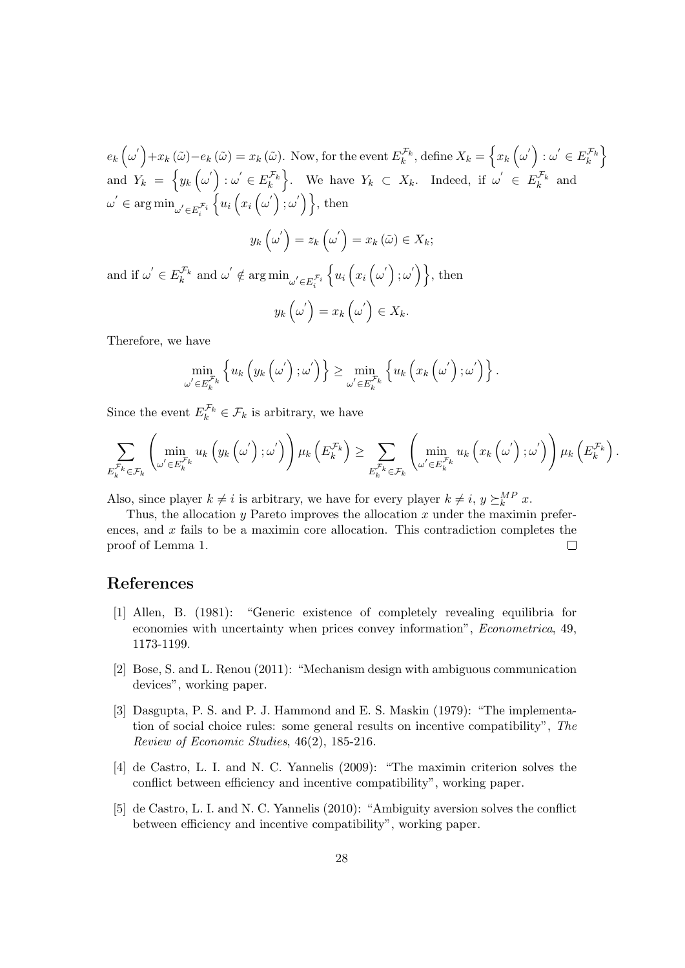$e_k\left(\omega'\right)+x_k\left(\tilde{\omega}\right)-e_k\left(\tilde{\omega}\right)=x_k\left(\tilde{\omega}\right).$  Now, for the event  $E_k^{\mathcal{F}_k}$ , define  $X_k=\left\{x_k\left(\omega'\right): \omega'\in E_k^{\mathcal{F}_k}\right\}$ and  $Y_k = \left\{ y_k \left( \omega' \right) : \omega' \in E_k^{\mathcal{F}_k} \right\}$ . We have  $Y_k \subset X_k$ . Indeed, if  $\omega' \in E_k^{\mathcal{F}_k}$  and  $\omega^{'} \in \argmin_{\omega^{'} \in E_i^{\mathcal{F}_i}}$  $\{u_i(x_i(\omega');\omega')\},\$  then

$$
y_k\left(\omega'\right)=z_k\left(\omega'\right)=x_k\left(\tilde{\omega}\right)\in X_k;
$$

and if  $\omega' \in E_k^{\mathcal{F}_k}$  and  $\omega' \notin \arg \min_{\omega' \in E_i^{\mathcal{F}_i}}$  $\{u_i(x_i(\omega');\omega')\},\$  then  $y_k\left(\omega^{'}\right)=x_k\left(\omega^{'}\right)\in X_k.$ 

Therefore, we have

$$
\min_{\omega' \in E_k^{\mathcal{F}_k}} \left\{ u_k \left( y_k \left( \omega' \right); \omega' \right) \right\} \geq \min_{\omega' \in E_k^{\mathcal{F}_k}} \left\{ u_k \left( x_k \left( \omega' \right); \omega' \right) \right\}.
$$

Since the event  $E_k^{\mathcal{F}_k} \in \mathcal{F}_k$  is arbitrary, we have

$$
\sum_{E_{k}^{\mathcal{F}_{k}} \in \mathcal{F}_{k}} \left( \min_{\omega' \in E_{k}^{\mathcal{F}_{k}}} u_{k}\left(y_{k}\left(\omega'\right); \omega'\right) \right) \mu_{k}\left(E_{k}^{\mathcal{F}_{k}}\right) \geq \sum_{E_{k}^{\mathcal{F}_{k}} \in \mathcal{F}_{k}} \left( \min_{\omega' \in E_{k}^{\mathcal{F}_{k}}} u_{k}\left(x_{k}\left(\omega'\right); \omega'\right) \right) \mu_{k}\left(E_{k}^{\mathcal{F}_{k}}\right).
$$

Also, since player  $k \neq i$  is arbitrary, we have for every player  $k \neq i$ ,  $y \succeq_k^{MP} x$ .

Thus, the allocation  $y$  Pareto improves the allocation  $x$  under the maximin preferences, and  $x$  fails to be a maximin core allocation. This contradiction completes the proof of Lemma 1.  $\Box$ 

# References

- [1] Allen, B. (1981): "Generic existence of completely revealing equilibria for economies with uncertainty when prices convey information", Econometrica, 49, 1173-1199.
- [2] Bose, S. and L. Renou (2011): "Mechanism design with ambiguous communication devices", working paper.
- [3] Dasgupta, P. S. and P. J. Hammond and E. S. Maskin (1979): "The implementation of social choice rules: some general results on incentive compatibility", The Review of Economic Studies, 46(2), 185-216.
- [4] de Castro, L. I. and N. C. Yannelis (2009): "The maximin criterion solves the conflict between efficiency and incentive compatibility", working paper.
- [5] de Castro, L. I. and N. C. Yannelis (2010): "Ambiguity aversion solves the conflict between efficiency and incentive compatibility", working paper.